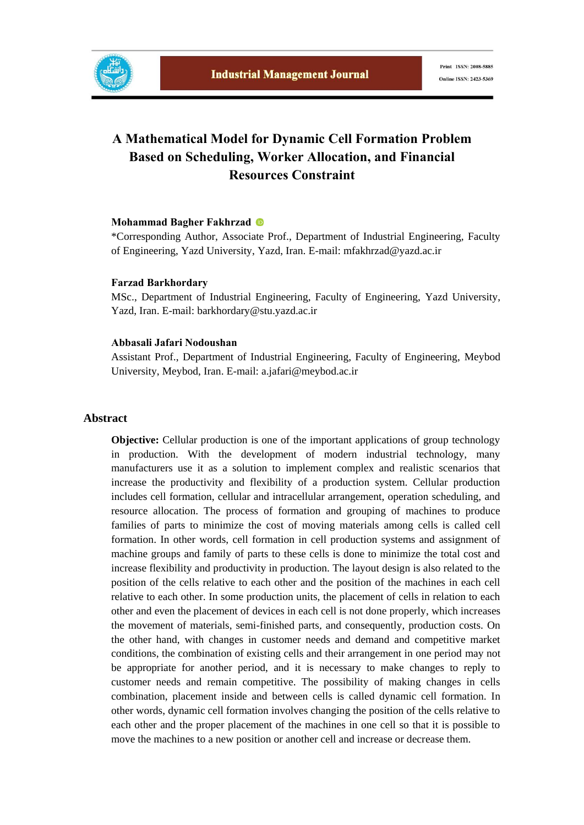

# **A Mathematical Model for Dynamic Cell Formation Problem Based on Scheduling, Worker Allocation, and Financial Resources Constraint**

#### **Mohammad Bagher Fakhrzad**

\*Corresponding Author, Associate Prof., Department of Industrial Engineering, Faculty of Engineering, Yazd University, Yazd, Iran. E-mail: mfakhrzad@yazd.ac.ir

#### **Farzad Barkhordary**

MSc., Department of Industrial Engineering, Faculty of Engineering, Yazd University, Yazd, Iran. E-mail: barkhordary@stu.yazd.ac.ir

#### **Abbasali Jafari Nodoushan**

Assistant Prof., Department of Industrial Engineering, Faculty of Engineering, Meybod University, Meybod, Iran. E-mail: a.jafari@meybod.ac.ir

#### **Abstract**

**Objective:** Cellular production is one of the important applications of group technology in production. With the development of modern industrial technology, many manufacturers use it as a solution to implement complex and realistic scenarios that increase the productivity and flexibility of a production system. Cellular production includes cell formation, cellular and intracellular arrangement, operation scheduling, and resource allocation. The process of formation and grouping of machines to produce families of parts to minimize the cost of moving materials among cells is called cell formation. In other words, cell formation in cell production systems and assignment of machine groups and family of parts to these cells is done to minimize the total cost and increase flexibility and productivity in production. The layout design is also related to the position of the cells relative to each other and the position of the machines in each cell relative to each other. In some production units, the placement of cells in relation to each other and even the placement of devices in each cell is not done properly, which increases the movement of materials, semi-finished parts, and consequently, production costs. On the other hand, with changes in customer needs and demand and competitive market conditions, the combination of existing cells and their arrangement in one period may not be appropriate for another period, and it is necessary to make changes to reply to customer needs and remain competitive. The possibility of making changes in cells combination, placement inside and between cells is called dynamic cell formation. In other words, dynamic cell formation involves changing the position of the cells relative to each other and the proper placement of the machines in one cell so that it is possible to move the machines to a new position or another cell and increase or decrease them.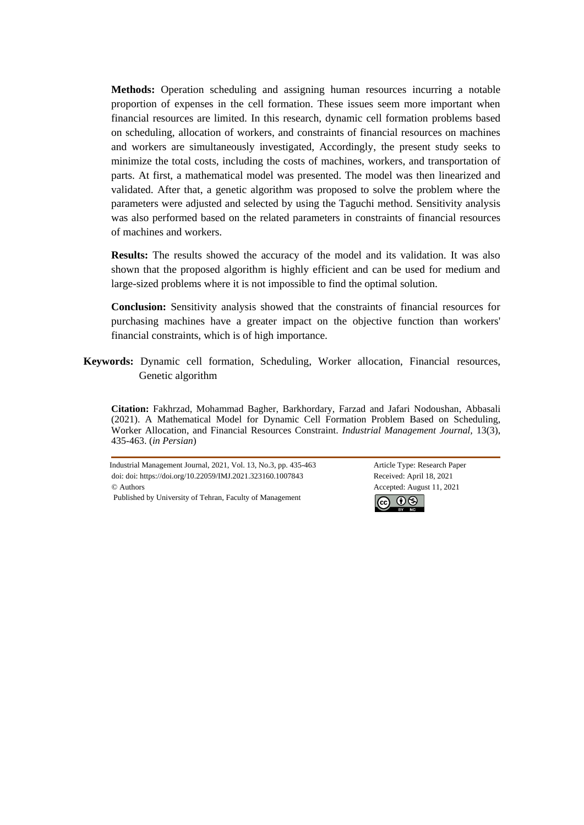**Methods:** Operation scheduling and assigning human resources incurring a notable proportion of expenses in the cell formation. These issues seem more important when financial resources are limited. In this research, dynamic cell formation problems based on scheduling, allocation of workers, and constraints of financial resources on machines and workers are simultaneously investigated, Accordingly, the present study seeks to minimize the total costs, including the costs of machines, workers, and transportation of parts. At first, a mathematical model was presented. The model was then linearized and validated. After that, a genetic algorithm was proposed to solve the problem where the parameters were adjusted and selected by using the Taguchi method. Sensitivity analysis was also performed based on the related parameters in constraints of financial resources of machines and workers.

**Results:** The results showed the accuracy of the model and its validation. It was also shown that the proposed algorithm is highly efficient and can be used for medium and large-sized problems where it is not impossible to find the optimal solution.

**Conclusion:** Sensitivity analysis showed that the constraints of financial resources for purchasing machines have a greater impact on the objective function than workers' financial constraints, which is of high importance.

**Keywords:** Dynamic cell formation, Scheduling, Worker allocation, Financial resources, Genetic algorithm

**Citation:** Fakhrzad, Mohammad Bagher, Barkhordary, Farzad and Jafari Nodoushan, Abbasali (2021). A Mathematical Model for Dynamic Cell Formation Problem Based on Scheduling, Worker Allocation, and Financial Resources Constraint. *Industrial Management Journal,* 13(3), 435-463. (*in Persian*)

Industrial Management Journal, 2021, Vol. 13, No.3, pp. 435-463 Article Type: Research Paper doi: doi: https://doi.org/10.22059/IMJ.2021.323160.1007843 Received: April 18, 2021 © Authors Accepted: August 11, 2021 Published by University of Tehran, Faculty of Management

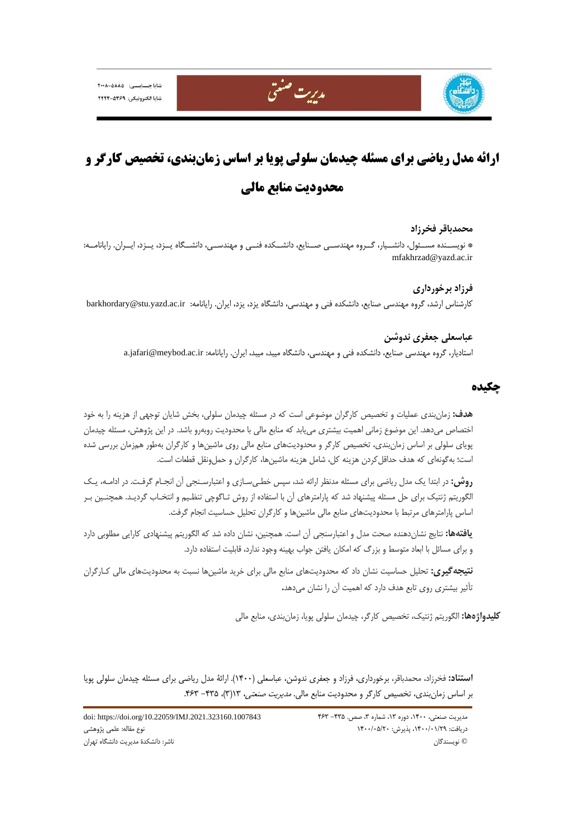شابا چسابسی: ۲۰۰۸-۵۸۸۵ شابا الكترونيكي: ٢٤٢٩-٢٤٢٣



# **ارائه مدل رياضي براي مسئله چيدمان سلولي پويا بر اساس زمانبندي، تخصيص كارگر و محدوديت منابع مالي**

مدريت صنعتي

#### **محمدباقر فخرزاد**

\* نويســنده مســئول، دانشــيار، گــروه مهندســي صــنايع، دانشــكده فنــي و مهندســي، دانشــگاه يــزد، يــزد، ايــران. رايانامــه: mfakhrzad@yazd.ac.ir

**فرزاد برخورداري**  كارشناس ارشد، گروه مهندسي صنايع، دانشكده فني و مهندسي، دانشگاه يزد، يزد، ايران. رايانامه: barkhordary@stu.yazd.ac.ir

> **عباسعلي جعفري ندوشن**  استاديار، گروه مهندسي صنايع، دانشكده فني و مهندسي، دانشگاه ميبد، ميبد، ايران. رايانامه: a.jafari@meybod.ac.ir

# **چكيده**

**هدف:** زمانبندي عمليات و تخصيص كارگران موضوعي است كه در مسئله چيدمان سلولي، بخش شايان توجهي از هزينه را به خود اختصاص ميدهد. اين موضوع زماني اهميت بيشتري مييابد كه منابع مالي با محدوديت روبهرو باشد. در اين پژوهش، مسئله چيدمان پوياي سلولي بر اساس زمانبندي، تخصيص كارگر و محدوديتهاي منابع مالي روي ماشينها و كارگران بهطور همزمان بررسي شده است؛ بهگونهاي كه هدف حداقلكردن هزينه كل، شامل هزينه ماشينها، كارگران و حملونقل قطعات است.

**روش:** در ابتدا يك مدل رياضي براي مسئله مدنظر ارائه شد، سپس خطـيسـازي و اعتبارسـنجي آن انجـام گرفـت. در ادامـه، يـك الگوريتم ژنتيك براي حل مسئله پيشنهاد شد كه پارامترهاي آن با استفاده از روش تـاگوچي تنظـيم و انتخـاب گرديـد. همچنـين بـر اساس پارامترهاي مرتبط با محدوديتهاي منابع مالي ماشينها و كارگران تحليل حساسيت انجام گرفت.

**يافتهها:** نتايج نشاندهنده صحت مدل و اعتبارسنجي آن است. همچنين، نشان داده شد كه الگوريتم پيشنهادي كارايي مطلوبي دارد و براي مسائل با ابعاد متوسط و بزرگ كه امكان يافتن جواب بهينه وجود ندارد، قابليت استفاده دارد.

**نتيجهگيري:** تحليل حساسيت نشان داد كه محدوديتهاي منابع مالي براي خريد ماشينها نسبت به محدوديتهاي مالي كـارگران تأثير بيشتري روي تابع هدف دارد كه اهميت آن را نشان ميدهد**.** 

**كليدواژهها:** الگوريتم ژنتيك، تخصيص كارگر، چيدمان سلولي پويا، زمانبندي، منابع مالي

**استناد:** فخرزاد، محمدباقر، برخورداري، فرزاد و جعفري ندوشن، عباسعلي (1400). ارائة مدل رياضي براي مسئله چيدمان سلولي پويا بر اساس زمان بندي، تخصيص كارگر و محدوديت منابع مالي. *مديريت صنعتي،* ١٣(٣)، ٣٢٥- ٤۶٣.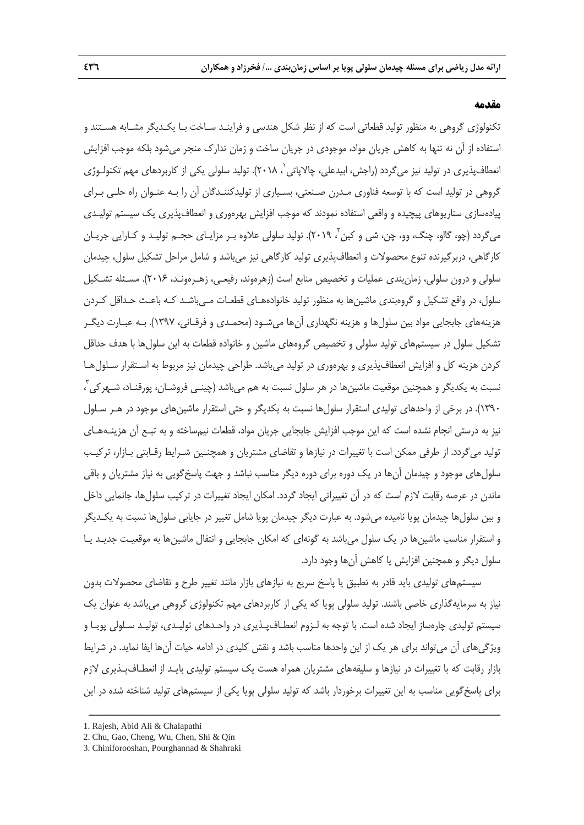#### **مقدمه**

تكنولوژي گروهي به منظور توليد قطعاتي است كه از نظر شكل هندسي و فراينـد سـاخت بـا يكـديگر مشـابه هسـتند و استفاده از آن نه تنها به كاهش جريان مواد، موجودي در جريان ساخت و زمان تدارك منجر ميشود بلكه موجب افزايش انعطافپذيري در توليد نيز مي گردد (راجش، ابيدعلي، چالاياتي`، ٢٠١٨). توليد سلولي يكي از كاربردهاي مهم تكنولـوژي گروهي در توليد است كه با توسعه فناوري مـدرن صـنعتي، بسـياري از توليدكننـدگان آن را بـه عنـوان راه حلـي بـراي پيادهسازي سناريوهاي پيچيده و واقعي استفاده نمودند كه موجب افزايش بهرهوري و انعطافپذيري يك سيستم توليـدي می گردد (چو، گااو، چنگ، وو، چن، شی و كين <sup>۲</sup>، ۲۰۱۹). توليد سلولی علاوه بـر مزايـای حجـم توليـد و كـارايی جريـان كارگاهي، دربرگيرنده تنوع محصولات و انعطافپذيري توليد كارگاهي نيز ميباشد و شامل مراحل تشكيل سلول، چيدمان سلولي و درون سلولي، زمانبندي عمليات و تخصيص منابع است (زهرهوند، رفيعـي، زهـرهونـد، 2016). مسـئله تشـكيل سلول، در واقع تشكيل و گروهبندي ماشينها به منظور توليد خانوادههـاي قطعـات مـيباشـد كـه باعـث حـداقل كـردن هزينههاي جابجايي مواد بين سلولها و هزينه نگهداري آنها ميشـود (محمـدي و فرقـاني، 1397). بـه عبـارت ديگـر تشكيل سلول در سيستمهاي توليد سلولي و تخصيص گروههاي ماشين و خانواده قطعات به اين سلولها با هدف حداقل كردن هزينه كل و افزايش انعطافپذيري و بهرهوري در توليد ميباشد. طراحي چيدمان نيز مربوط به اسـتقرار سـلولهـا <sub>.</sub><br>نسبت به يكديگر و همچنين موقعيت ماشينها در هر سلول نسبت به هم ميباشد (چينـي فروشـان، پورقنـاد، شـهركي ، 1390). در برخي از واحدهاي توليدي استقرار سلولها نسبت به يكديگر و حتي استقرار ماشينهاي موجود در هـر سـلول نيز به درستي انجام نشده است كه اين موجب افزايش جابجايي جريان مواد، قطعات نيمساخته و به تبـع آن هزينـههـاي توليد ميگردد. از طرفي ممكن است با تغييرات در نيازها و تقاضاي مشتريان و همچنـين شـرايط رقـابتي بـازار، تركيـب سلولهاي موجود و چيدمان آنها در يك دوره براي دوره ديگر مناسب نباشد و جهت پاسخگويي به نياز مشتريان و باقي ماندن در عرصه رقابت لازم است كه در آن تغييراتي ايجاد گردد. امكان ايجاد تغييرات در تركيب سلولها، جانمايي داخل و بين سلولها چيدمان پويا ناميده ميشود. به عبارت ديگر چيدمان پويا شامل تغيير در جايابي سلولها نسبت به يكـديگر و استقرار مناسب ماشينها در يك سلول ميباشد به گونهاي كه امكان جابجايي و انتقال ماشينها به موقعيـت جديـد يـا سلول ديگر و همچنين افزايش يا كاهش آنها وجود دارد.

سيستمهاي توليدي بايد قادر به تطبيق يا پاسخ سريع به نيازهاي بازار مانند تغيير طرح و تقاضاي محصولات بدون نياز به سرمايهگذاري خاصي باشند. توليد سلولي پويا كه يكي از كاربردهاي مهم تكنولوژي گروهي ميباشد به عنوان يك سيستم توليدي چارهساز ايجاد شده است. با توجه به لـزوم انعطـافپـذيري در واحـدهاي توليـدي، توليـد سـلولي پويـا و ويژگيهاي آن ميتواند براي هر يك از اين واحدها مناسب باشد و نقش كليدي در ادامه حيات آنها ايفا نمايد. در شرايط بازار رقابت كه با تغييرات در نيازها و سليقههاي مشتريان همراه هست يك سيستم توليدي بايـد از انعطـافپـذيري لازم براي پاسخگويي مناسب به اين تغييرات برخوردار باشد كه توليد سلولي پويا يكي از سيستمهاي توليد شناخته شده در اين

<sup>1.</sup> Rajesh, Abid Ali & Chalapathi

<sup>2.</sup> Chu, Gao, Cheng, Wu, Chen, Shi & Qin

<sup>3.</sup> Chiniforooshan, Pourghannad & Shahraki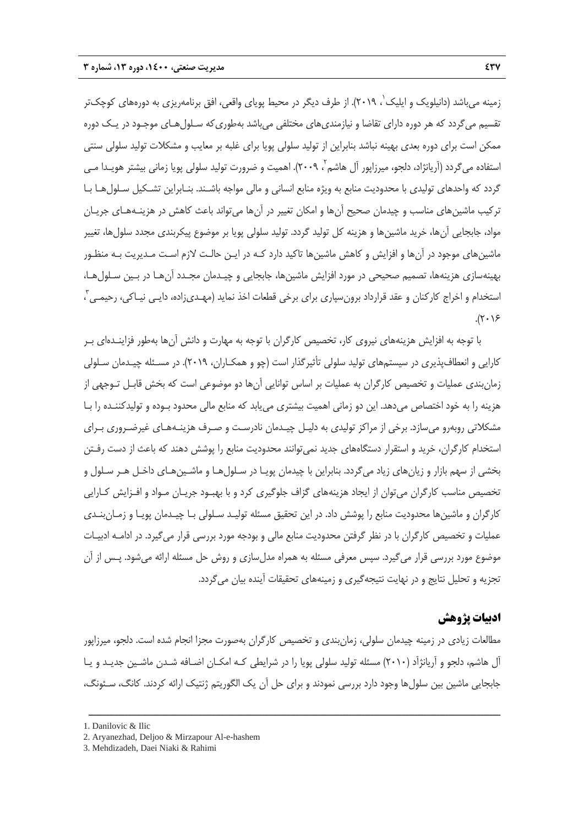زمينه مىباشد (دانيلويک و ايليک`، ٢٠١٩). از طرف ديگر در محيط پوياى واقعى، افق برنامهريزى به دورههاى كوچکتر تقسيم ميگردد كه هر دوره داراي تقاضا و نيازمنديهاي مختلفي ميباشد بهطوريكه سـلولهـاي موجـود در يـك دوره ممكن است براي دوره بعدي بهينه نباشد بنابراين از توليد سلولي پويا براي غلبه بر معايب و مشكلات توليد سلولي سنتي ّستفاده میگردد (آریانژاد، دلجو، میرزاپور آل هاشم ۲۰۰۹). اهمیت و ضرورت تولید سلولی پویا زمانی بیشتر هویـدا مـی گردد كه واحدهاي توليدي با محدوديت منابع به ويژه منابع انساني و مالي مواجه باشـند. بنـابراين تشـكيل سـلولهـا بـا تركيب ماشينهاي مناسب و چيدمان صحيح آنها و امكان تغيير در آنها ميتواند باعث كاهش در هزينـههـاي جريـان مواد، جابجايي آنها، خريد ماشينها و هزينه كل توليد گردد. توليد سلولي پويا بر موضوع پيكربندي مجدد سلولها، تغيير ماشينهاي موجود در آنها و افزايش و كاهش ماشينها تاكيد دارد كـه در ايـن حالـت لازم اسـت مـديريت بـه منظـور بهينهسازي هزينهها، تصميم صحيحي در مورد افزايش ماشينها، جابجايي و چيـدمان مجـدد آنهـا در بـين سـلولهـا، ّستخدام و اخراج كاركنان و عقد قرارداد برونسپاري براي برخي قطعات اخذ نمايد (مهـديزاده، دايـي نيـاكي، رحيمـي ّ ،  $.(\mathbf{Y}\cdot\mathbf{Y})$ 

با توجه به افزايش هزينههاي نيروي كار، تخصيص كارگران با توجه به مهارت و دانش آنها بهطور فزاينـدهاي بـر كارايي و انعطافپذيري در سيستمهاي توليد سلولي تأثيرگذار است (چو و همكـاران، 2019). در مسـئله چيـدمان سـلولي زمانبندي عمليات و تخصيص كارگران به عمليات بر اساس توانايي آنها دو موضوعي است كه بخش قابـل تـوجهي از هزينه را به خود اختصاص ميدهد. اين دو زماني اهميت بيشتري مييابد كه منابع مالي محدود بـوده و توليدكننـده را بـا مشكلاتي روبهرو ميسازد. برخي از مراكز توليدي به دليـل چيـدمان نادرسـت و صـرف هزينـههـاي غيرضـروري بـراي استخدام كارگران، خريد و استقرار دستگاههاي جديد نميتوانند محدوديت منابع را پوشش دهند كه باعث از دست رفـتن بخشي از سهم بازار و زيانهاي زياد ميگردد. بنابراين با چيدمان پويـا در سـلولهـا و ماشـينهـاي داخـل هـر سـلول و تخصيص مناسب كارگران ميتوان از ايجاد هزينههاي گزاف جلوگيري كرد و با بهبـود جريـان مـواد و افـزايش كـارايي كارگران و ماشينها محدوديت منابع را پوشش داد. در اين تحقيق مسئله توليـد سـلولي بـا چيـدمان پويـا و زمـانبنـدي عمليات و تخصيص كارگران با در نظر گرفتن محدوديت منابع مالي و بودجه مورد بررسي قرار ميگيرد. در ادامـه ادبيـات موضوع مورد بررسي قرار ميگيرد. سپس معرفي مسئله به همراه مدلسازي و روش حل مسئله ارائه ميشود. پـس از آن تجزيه و تحليل نتايج و در نهايت نتيجهگيري و زمينههاي تحقيقات آينده بيان ميگردد.

# **ادبيات پژوهش**

مطالعات زيادي در زمينه چيدمان سلولي، زمانبندي و تخصيص كارگران بهصورت مجزا انجام شده است. دلجو، ميرزاپور آل هاشم، دلجو و آريانژآد (2010) مسئله توليد سلولي پويا را در شرايطي كـه امكـان اضـافه شـدن ماشـين جديـد و يـا جابجايي ماشين بين سلولها وجود دارد بررسي نمودند و براي حل آن يك الگوريتم ژنتيك ارائه كردند. كانگ، سـئونگ،

<sup>1.</sup> Danilovic & Ilic

<sup>2.</sup> Aryanezhad, Deljoo & Mirzapour Al-e-hashem

<sup>3.</sup> Mehdizadeh, Daei Niaki & Rahimi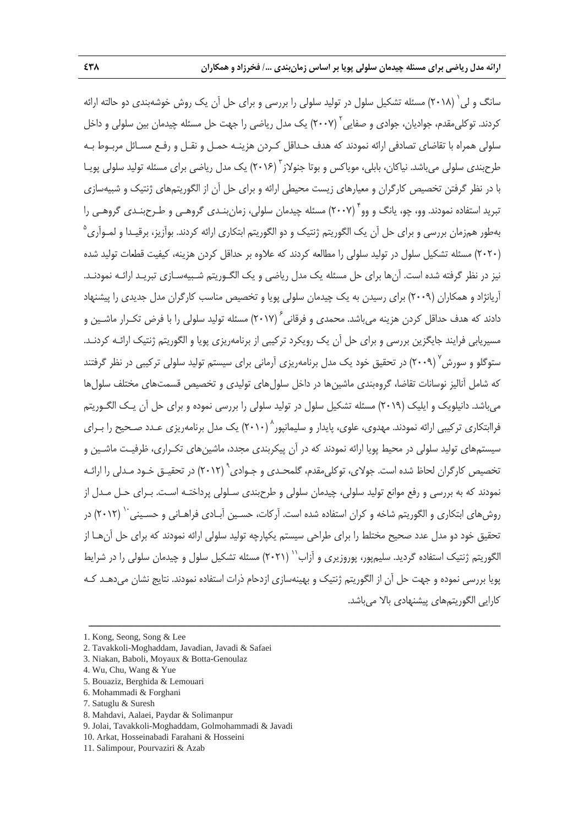سانگ و لي ` (٢٠١٨) مسئله تشكيل سلول در توليد سلولي را بررسي و براي حل آن يک روش خوشهبندي دو حالته ارائه كردند. توكلي مقدم، جواديان، جوادي و صفايي (٢٠٠٧) يک مدل رياضي را جهت حل مسئله چيدمان بين سلولي و داخل سلولي همراه با تقاضاي تصادفي ارائه نمودند كه هدف حـداقل كـردن هزينـه حمـل و نقـل و رفـع مسـائل مربـوط بـه طرحبندي سلولي مي باشد. نياكان، بابلي، موياكس و بوتا جنولاز <sup>۳</sup> (۲۰۱۶) يک مدل رياضي براي مسئله توليد سلولي پويـا با در نظر گرفتن تخصيص كارگران و معيارهاي زيست محيطي ارائه و براي حل آن از الگوريتمهاي ژنتيك و شبيهسازي تبريد استفاده نمودند. وو، چو، پانگ و وو (٢٠٠٧) مسئله چيدمان سلولي، زمان بنـدي گروهـي و طـرحبنـدي گروهـي را 5 بهطور همزمان بررسي و براي حل آن يك الگوريتم ژنتيك و دو الگوريتم ابتكاري ارائه كردند. بوآزيز، برقيـدا و لمـوآري (2020) مسئله تشكيل سلول در توليد سلولي را مطالعه كردند كه علاوه بر حداقل كردن هزينه، كيفيت قطعات توليد شده نيز در نظر گرفته شده است. آنها براي حل مسئله يك مدل رياضي و يك الگـوريتم شـبيهسـازي تبريـد ارائـه نمودنـد. آريانژاد و همكاران (2009) براي رسيدن به يك چيدمان سلولي پويا و تخصيص مناسب كارگران مدل جديدي را پيشنهاد دادند كه هدف حداقل كردن هزينه مىباشد. محمدى و فرقانى 1 (٢٠١٧) مسئله توليد سلولى را با فرض تكـرار ماشـين و مسيريابي فرايند جايگزين بررسي و براي حل آن يك رويكرد تركيبي از برنامهريزي پويا و الگوريتم ژنتيك ارائـه كردنـد. ستوگلو و سورش<sup>٬ (</sup>۲۰۰۹) در تحقيق خود يک مدل برنامهريزي آرماني براي سيستم توليد سلولي تركيبي در نظر گرفتند كه شامل آناليز نوسانات تقاضا، گروهبندي ماشين ها در داخل سلولهاي توليدي و تخصيص قسمتهاي مختلف سلولها ميباشد. دانيلويك و ايليك (2019) مسئله تشكيل سلول در توليد سلولي را بررسي نموده و براي حل آن يـك الگـوريتم فراابتكاري تركيبي ارائه نمودند. مهدوي، علوي، پايدار و سليمانيور` (۲۰۱۰) يک مدل برنامهريزي عـدد صـحيح را بـراي سيستمهاي توليد سلولي در محيط پويا ارائه نمودند كه در آن پيكربندي مجدد، ماشينهاي تكـراري، ظرفيـت ماشـين و تخصيص كارگران لحاظ شده است. جولاي، توكلي مقدم، گلمحـدي و جـوادي ٢٠١٢) در تحقيـق خـود مـدلي را ارائـه نمودند كه به بررسي و رفع موانع توليد سلولي، چيدمان سلولي و طرحبندي سـلولي پرداختـه اسـت. بـراي حـل مـدل از 10 روشهاي ابتكاري و الگوريتم شاخه و كران استفاده شده است. آركات، حسـين آبـادي فراهـاني و حسـيني (2012) در تحقيق خود دو مدل عدد صحيح مختلط را براي طراحي سيستم يكپارچه توليد سلولي ارائه نمودند كه براي حل آنهـا از الگوريتم ژنتيک استفاده گرديد. سليمپور، پوروزيري و آزاب<sup>۱٬</sup> (۲۰۲۱) مسئله تشکيل سلول و چيدمان سلولي را در شرايط پويا بررسي نموده و جهت حل آن از الگوريتم ژنتيك و بهينهسازي ازدحام ذرات استفاده نمودند. نتايج نشان ميدهـد كـه كارايي الگوريتمهاي پيشنهادي بالا ميباشد.

<sup>1.</sup> Kong, Seong, Song & Lee

<sup>2.</sup> Tavakkoli-Moghaddam, Javadian, Javadi & Safaei

<sup>3.</sup> Niakan, Baboli, Moyaux & Botta-Genoulaz

<sup>4.</sup> Wu, Chu, Wang & Yue

<sup>5.</sup> Bouaziz, Berghida & Lemouari

<sup>6.</sup> Mohammadi & Forghani

<sup>7.</sup> Satuglu & Suresh

<sup>8.</sup> Mahdavi, Aalaei, Paydar & Solimanpur

<sup>9.</sup> Jolai, Tavakkoli-Moghaddam, Golmohammadi & Javadi

<sup>10.</sup> Arkat, Hosseinabadi Farahani & Hosseini

<sup>11.</sup> Salimpour, Pourvaziri & Azab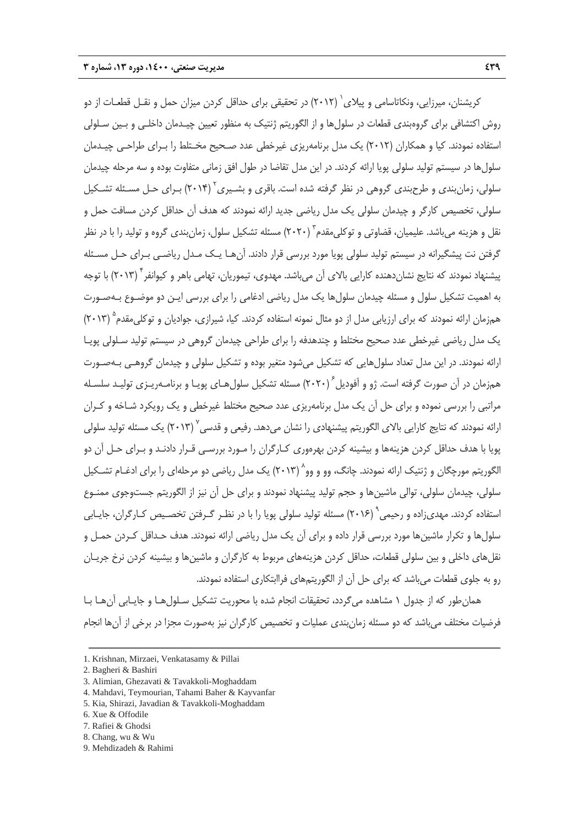کریشنان، میرزایی، ونکاتاسامی و پیلای <sup>۱</sup> (۲۰۱۲) در تحقیقی برای حداقل کردن میزان حمل و نقـل قطعـات از دو روش اكتشافي براي گروهبندي قطعات در سلولها و از الگوريتم ژنتيك به منظور تعيين چيـدمان داخلـي و بـين سـلولي استفاده نمودند. كيا و همكاران (2012) يك مدل برنامهريزي غيرخطي عدد صـحيح مخـتلط را بـراي طراحـي چيـدمان سلولها در سيستم توليد سلولي پويا ارائه كردند. در اين مدل تقاضا در طول افق زماني متفاوت بوده و سه مرحله چيدمان سلولي، زمانبندي و طرحبندي گروهي در نظر گرفته شده است. باقري و بشـيري<sup>۲</sup> (۲۰۱۴) بـراي حـل مسـئله تشـكيل سلولي، تخصيص كارگر و چيدمان سلولي يك مدل رياضي جديد ارائه نمودند كه هدف آن حداقل كردن مسافت حمل و نقل و هزينه م راشد. عليميان، قضاوتي و توكلي مقدم ّ (٢٠٢٠) مسئله تشكيل سلول، زمان بندي گروه و توليد را با در نظر گرفتن نت پيشگيرانه در سيستم توليد سلولي پويا مورد بررسي قرار دادند. آنهـا يـك مـدل رياضـي بـراي حـل مسـئله ييشنهاد نمودند كه نتايج نشان دهنده كارايي بالاي آن ميباشد. مهدوي، تيموريان، تهامي باهر و كيوانفر <sup>٦</sup> (٢٠١٣) با توجه به اهميت تشكيل سلول و مسئله چيدمان سلولها يك مدل رياضي ادغامي را براي بررسي ايـن دو موضـوع بـهصـورت همزمان ارائه نمودند كه براي ارزيابي مدل از دو مثال نمونه استفاده كردند. كيا، شيرازي، جواديان و توكلي مقدم<sup>۵</sup> (۲۰۱۳) يك مدل رياضي غيرخطي عدد صحيح مختلط و چندهدفه را براي طراحي چيدمان گروهي در سيستم توليد سـلولي پويـا ارائه نمودند. در اين مدل تعداد سلولهايي كه تشكيل ميشود متغير بوده و تشكيل سلولي و چيدمان گروهـي بـهصـورت همزمان در آن صورت گرفته است. ژو و آفوديل<sup>۶</sup> (۲۰۲۰) مسئله تشكيل سلولهـاى پويـا و برنامـهريـزى توليـد سلسـله مراتبي را بررسي نموده و براي حل آن يك مدل برنامهريزي عدد صحيح مختلط غيرخطي و يك رويكرد شـاخه و كـران ارائه نمودند كه نتايج كارايي بالاي الگوريتم پيشنهادي را نشان مي دهد. رفيعي و قدسي ۲۰۱۳) يک مسئله توليد سلولي پويا با هدف حداقل كردن هزينهها و بيشينه كردن بهرهوري كـارگران را مـورد بررسـي قـرار دادنـد و بـراي حـل آن دو الگوريتم مورچگان و ژنتيک ارائه نمودند. چانگ، وو و وو` (۲۰۱۳) يک مدل رياضي دو مرحلهاي را براي ادغـام تشـكيل سلولي، چيدمان سلولي، توالي ماشينها و حجم توليد پيشنهاد نمودند و براي حل آن نيز از الگوريتم جستوجوي ممنـوع استفاده كردند. مهدي;اده و رحيمي " (٢٠١۶) مسئله توليد سلولي پويا را با در نظـر گـرفتن تخصـيص كـارگران، جايـابي سلولها و تكرار ماشينها مورد بررسي قرار داده و براي آن يك مدل رياضي ارائه نمودند. هدف حـداقل كـردن حمـل و نقلهاي داخلي و بين سلولي قطعات، حداقل كردن هزينههاي مربوط به كارگران و ماشينها و بيشينه كردن نرخ جريـان رو به جلوي قطعات ميباشد كه براي حل آن از الگوريتمهاي فراابتكاري استفاده نمودند.

همانطور كه از جدول 1 مشاهده ميگردد، تحقيقات انجام شده با محوريت تشكيل سـلولهـا و جايـابي آنهـا بـا فرضيات مختلف ميباشد كه دو مسئله زمانبندي عمليات و تخصيص كارگران نيز بهصورت مجزا در برخي از آنها انجام

<sup>1.</sup> Krishnan, Mirzaei, Venkatasamy & Pillai

<sup>2.</sup> Bagheri & Bashiri

<sup>3.</sup> Alimian, Ghezavati & Tavakkoli-Moghaddam

<sup>4.</sup> Mahdavi, Teymourian, Tahami Baher & Kayvanfar

<sup>5.</sup> Kia, Shirazi, Javadian & Tavakkoli-Moghaddam

<sup>6.</sup> Xue & Offodile

<sup>7.</sup> Rafiei & Ghodsi

<sup>8.</sup> Chang, wu & Wu

<sup>9.</sup> Mehdizadeh & Rahimi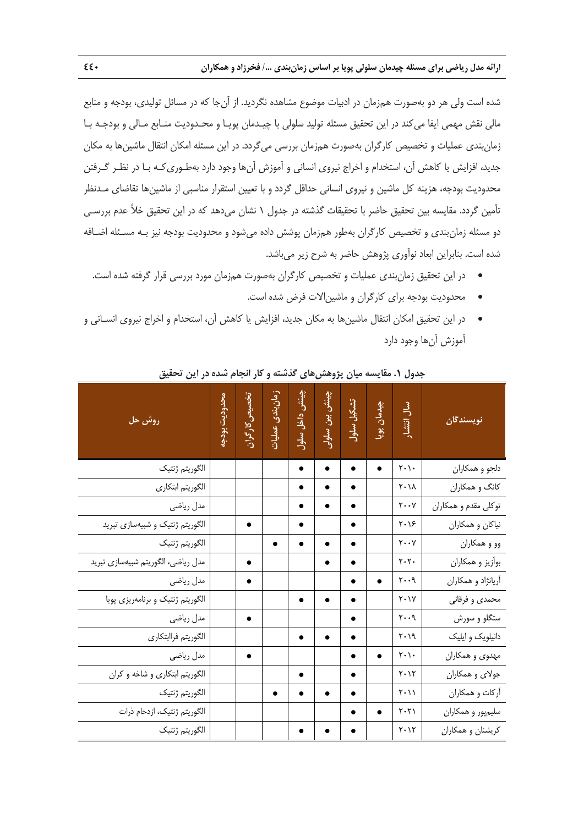شده است ولي هر دو بهصورت همزمان در ادبيات موضوع مشاهده نگرديد. از آنجا كه در مسائل توليدي، بودجه و منابع مالي نقش مهمي ايفا ميكند در اين تحقيق مسئله توليد سلولي با چيـدمان پويـا و محـدوديت منـابع مـالي و بودجـه بـا زمانبندي عمليات و تخصيص كارگران بهصورت همزمان بررسي ميگردد. در اين مسئله امكان انتقال ماشينها به مكان جديد، افزايش يا كاهش آن، استخدام و اخراج نيروي انساني و آموزش آنها وجود دارد بهطـوريكـه بـا در نظـر گـرفتن محدوديت بودجه، هزينه كل ماشين و نيروي انساني حداقل گردد و با تعيين استقرار مناسبي از ماشينها تقاضاي مـدنظر تأمين گردد. مقايسه بين تحقيق حاضر با تحقيقات گذشته در جدول 1 نشان ميدهد كه در اين تحقيق خلأ عدم بررسـي دو مسئله زمانبندي و تخصيص كارگران بهطور همزمان پوشش داده ميشود و محدوديت بودجه نيز بـه مسـئله اضـافه شده است. بنابراين ابعاد نوآوري پژوهش حاضر به شرح زير ميباشد.

- در اين تحقيق زمانبندي عمليات و تخصيص كارگران بهصورت همزمان مورد بررسي قرار گرفته شده است.
	- محدوديت بودجه براي كارگران و ماشينالات فرض شده است.
- در اين تحقيق امكان انتقال ماشينها به مكان جديد، افزايش يا كاهش آن، استخدام و اخراج نيروي انسـاني و آموزش آنها وجود دارد

| روش حل                             | محدوديت بودجه | تخصيص كاركران | زمان بندی عملیات | چینش داخل سلول | چینش بین سلولے | تشكيل سلول | چیدمان پویا | سال انتشار                       | نويسندگان            |
|------------------------------------|---------------|---------------|------------------|----------------|----------------|------------|-------------|----------------------------------|----------------------|
| الگوريتم ژنتيک                     |               |               |                  |                |                |            |             | $\mathsf{Y}\cdot\mathsf{Y}\cdot$ | دلجو و همکاران       |
| الگوريتم ابتكاري                   |               |               |                  |                |                |            |             | $\mathsf{Y} \cdot \mathsf{Y}$    | كانگ و همكاران       |
| مدل رياضي                          |               |               |                  |                |                |            |             | $\mathbf{y} \cdot \mathbf{y}$    | توكلي مقدم و همكاران |
| الگوریتم ژنتیک و شبیهسازی تبرید    |               |               |                  |                |                |            |             | $\mathbf{Y} \cdot \mathbf{X}$    | نیاکان و همکاران     |
| الگوريتم ژنتيک                     |               |               |                  |                |                |            |             | $\mathbf{y} \cdot \mathbf{y}$    | وو و همکاران         |
| مدل رياضي، الگوريتم شبيهسازي تبريد |               |               |                  |                |                |            |             | $\mathbf{y} \cdot \mathbf{y}$ .  | بوأزيز و همكاران     |
| مدل رياضي                          |               |               |                  |                |                |            |             | ۲۰۰۹                             | أريانژاد و همكاران   |
| الگوریتم ژنتیک و برنامهریزی پویا   |               |               |                  |                |                |            |             | $Y \cdot Y$                      | محمدى و فرقاني       |
| مدل رياضي                          |               |               |                  |                |                |            |             | $y \cdot \cdot \gamma$           | ستگلو و سورش         |
| الگوريتم فراابتكاري                |               |               |                  |                |                |            |             | $Y \cdot 19$                     | دانیلویک و ایلیک     |
| مدل رياضي                          |               |               |                  |                |                |            |             | $\mathbf{y} \cdot \mathbf{y}$    | مهدوي و همكاران      |
| الگوریتم ابتکاری و شاخه و کران     |               |               |                  |                |                |            |             | $Y \cdot Y$                      | جولاي و همكاران      |
| الگوريتم ژنتيک                     |               |               |                  |                |                |            |             | $\mathbf{Y} \cdot \mathbf{Y}$    | أركات و همكاران      |
| الگوريتم ژنتيک، ازدحام ذرات        |               |               |                  |                |                |            |             | $Y \cdot Y$                      | سليمپور و همكاران    |
| الگوريتم ژنتيک                     |               |               |                  |                |                |            |             | $Y \cdot Y$                      | كريشنان و همكاران    |

**جدول .1 مقايسه ميان پژوهشهاي گذشته و كار انجام شده در اين تحقيق**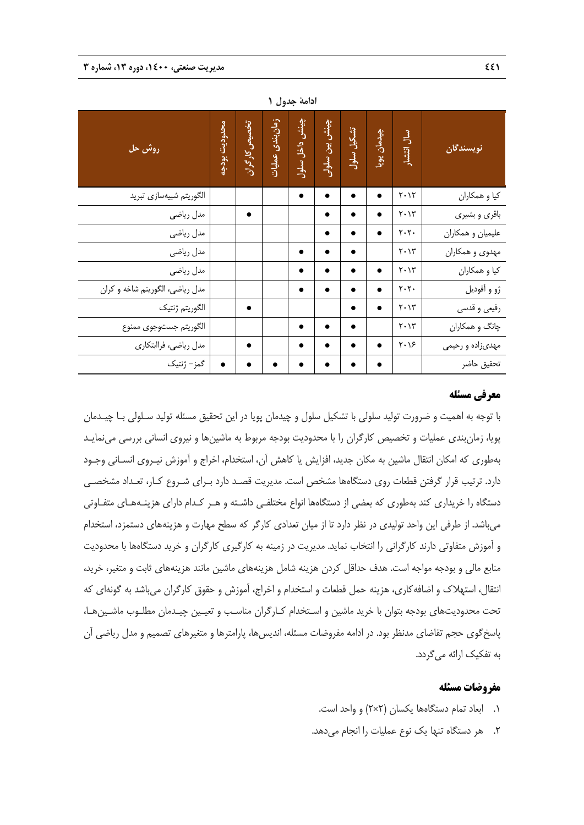|                                 |               |               | $\bullet$ .      |                |                |            |             |                                 |                   |
|---------------------------------|---------------|---------------|------------------|----------------|----------------|------------|-------------|---------------------------------|-------------------|
| <mark>روش حل</mark>             | محدوديت بودجه | تخصيص كارگران | زمان بندی عملیات | چینش داخل سلول | چینش بین سلولی | تشكيل سلول | چیدمان پویا | سال انتشار                      | نويسندگان         |
| الگوريتم شبيهسازي تبريد         |               |               |                  |                |                |            |             | $Y \cdot Y$                     | كيا و همكاران     |
| مدل رياضي                       |               |               |                  |                | $\bullet$      |            |             | $Y \cdot Y''$                   | باقري و بشيري     |
| مدل رياضي                       |               |               |                  |                | ٠              |            |             | $\mathbf{y} \cdot \mathbf{y}$ . | علیمیان و همکاران |
| مدل رياضي                       |               |               |                  | $\bullet$      | $\bullet$      |            |             | $Y \cdot Y''$                   | مهدوي و همكاران   |
| مدل رياضي                       |               |               |                  |                | $\bullet$      |            |             | $\mathbf{Y} \cdot \mathbf{Y}^n$ | كيا و همكاران     |
| مدل رياضي، الگوريتم شاخه و كران |               |               |                  |                |                |            | $\bullet$   | $\mathbf{y} \cdot \mathbf{y}$ . | ژو و آفوديل       |
| الگوريتم ژنتيک                  |               |               |                  |                |                |            |             | $Y \cdot Y''$                   | رفیعی و قدسی      |
| الگوريتم جستوجوى ممنوع          |               |               |                  |                |                |            |             | $Y \cdot Y''$                   | چانگ و همکاران    |
| مدل رياضي، فراابتكاري           |               | ٠             |                  |                | ٠              |            | ٠           | $Y \cdot Y$                     | مهدىزاده و رحيمي  |
| گمز – ژنتیک                     |               |               |                  |                |                |            |             |                                 | تحقيق حاضر        |

**ادامة جدول 1** 

# **معرفي مسئله**

با توجه به اهميت و ضرورت توليد سلولي با تشكيل سلول و چيدمان پويا در اين تحقيق مسئله توليد سـلولي بـا چيـدمان پويا، زمانبندي عمليات و تخصيص كارگران را با محدوديت بودجه مربوط به ماشينها و نيروي انساني بررسي مينمايـد بهطوري كه امكان انتقال ماشين به مكان جديد، افزايش يا كاهش آن، استخدام، اخراج و آموزش نيـروي انسـاني وجـود دارد. ترتيب قرار گرفتن قطعات روي دستگاهها مشخص است. مديريت قصـد دارد بـراي شـروع كـار، تعـداد مشخصـي دستگاه را خريداري كند بهطوري كه بعضي از دستگاهها انواع مختلفـي داشـته و هـر كـدام داراي هزينـههـاي متفـاوتي ميباشد. از طرفي اين واحد توليدي در نظر دارد تا از ميان تعدادي كارگر كه سطح مهارت و هزينههاي دستمزد، استخدام و آموزش متفاوتي دارند كارگراني را انتخاب نمايد. مديريت در زمينه به كارگيري كارگران و خريد دستگاهها با محدوديت منابع مالي و بودجه مواجه است. هدف حداقل كردن هزينه شامل هزينههاي ماشين مانند هزينههاي ثابت و متغير، خريد، انتقال، استهلاك و اضافهكاري، هزينه حمل قطعات و استخدام و اخراج، آموزش و حقوق كارگران ميباشد به گونهاي كه تحت محدوديتهاي بودجه بتوان با خريد ماشين و اسـتخدام كـارگران مناسـب و تعيـين چيـدمان مطلـوب ماشـينهـا، پاسخگوي حجم تقاضاي مدنظر بود. در ادامه مفروضات مسئله، انديسها، پارامترها و متغيرهاي تصميم و مدل رياضي آن به تفكيك ارائه ميگردد.

#### **مفروضات مسئله**

- .1 ابعاد تمام دستگاهها يكسان (2×2) و واحد است.
- .2 هر دستگاه تنها يك نوع عمليات را انجام ميدهد.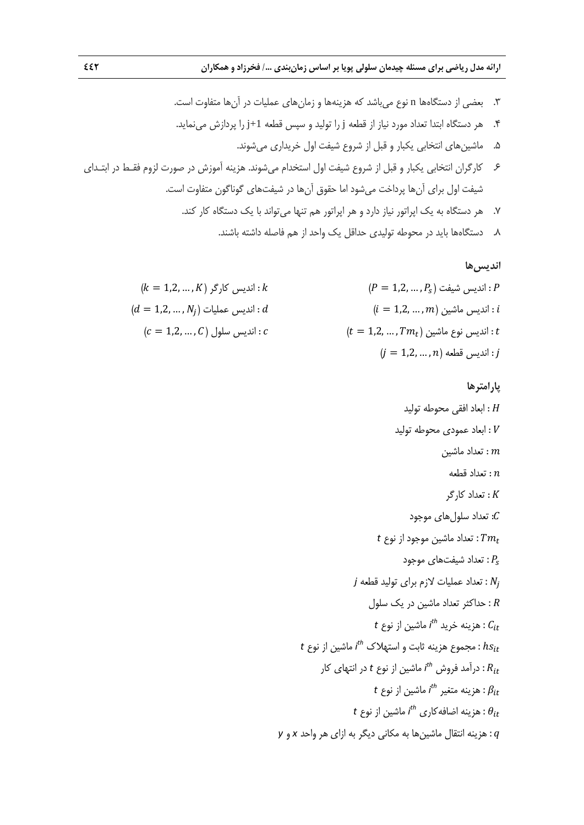.3 بعضي از دستگاهها n نوع ميباشد كه هزينهها و زمانهاي عمليات در آنها متفاوت است. .4 هر دستگاه ابتدا تعداد مورد نياز از قطعه j را توليد و سپس قطعه +1j را پردازش مينمايد. .5 ماشينهاي انتخابي يكبار و قبل از شروع شيفت اول خريداري ميشوند. .6 كارگران انتخابي يكبار و قبل از شروع شيفت اول استخدام ميشوند. هزينه آموزش در صورت لزوم فقـط در ابتـداي شيفت اول براي آنها پرداخت ميشود اما حقوق آنها در شيفتهاي گوناگون متفاوت است. .7 هر دستگاه به يك اپراتور نياز دارد و هر اپراتور هم تنها ميتواند با يك دستگاه كار كند. .8 دستگاهها بايد در محوطه توليدي حداقل يك واحد از هم فاصله داشته باشند.

ا**نديسها**  
\n
$$
(k = 1,2, ..., K) \geq 0
$$
\n
$$
(k = 1,2, ..., K) \geq 0
$$
\n
$$
(d = 1,2, ..., N_j) = 0
$$
\n
$$
(c = 1,2, ..., C) \text{ like } c
$$
\n
$$
c = 1,2, ..., C
$$
\n
$$
c = 1,2, ..., n
$$
\n
$$
c = 1,2, ..., n
$$
\n
$$
c = 1,2, ..., n
$$
\n
$$
i = 1,2, ..., n
$$
\n
$$
j = 1,2, ..., n
$$

پارامترها  
\n
$$
H
$$
  
\n $H$   
\n $H$   
\n $H$   
\n $H$   
\n $H$   
\n $H$   
\n $H$   
\n $H$   
\n $H$   
\n $H$   
\n $H$   
\n $H$   
\n $H$   
\n $H$   
\n $H$   
\n $H$   
\n $H$   
\n $H$   
\n $H$   
\n $H$   
\n $H$   
\n $H$   
\n $H$   
\n $H$   
\n $H$   
\n $H$   
\n $H$   
\n $H$   
\n $H$   
\n $H$   
\n $H$   
\n $H$   
\n $H$   
\n $H$   
\n $H$   
\n $H$   
\n $H$   
\n $H$   
\n $H$   
\n $H$   
\n $H$   
\n $H$   
\n $H$   
\n $H$   
\n $H$   
\n $H$   
\n $H$   
\n $H$   
\n $H$   
\n $H$   
\n $H$   
\n $H$   
\n $H$   
\n $H$   
\n $H$   
\n $H$   
\n $H$   
\n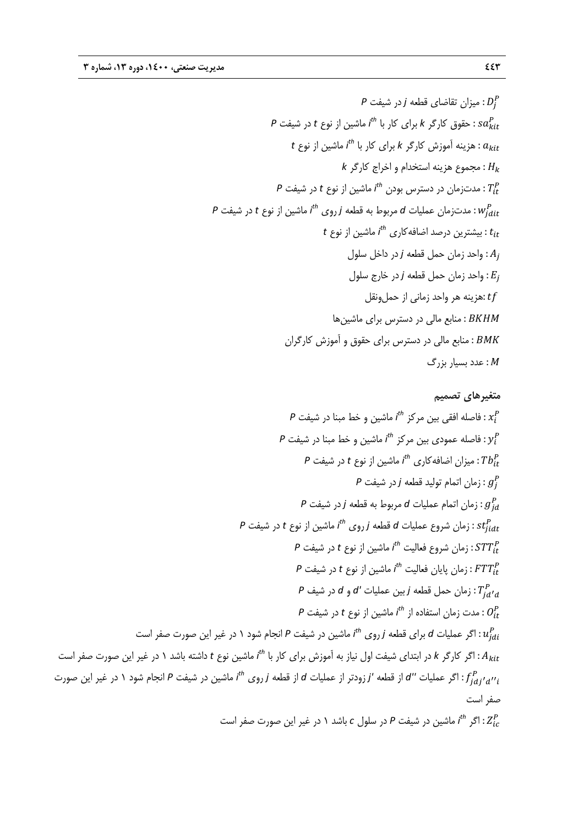$$
P
$$
 میزان تقاضای قطعه  $i$  در شیفت  $P$   
\n $P$  نمیزات قوق کارگر  $k$  برای کار با  $l^h$  ماشین از نوع t  
\n $l$  نمچموق کارگر  $k$  برای کار با  $l^h$  ماشین از نوع t  
\n $l$  نمیت نه اموزش کارگر  $k$   
\n $l$  نمیتزمان در دسترس بودن  $l^h$  ماشین از نوع 1 در شیفت  $P$   
\n $l$ ن میتی نر درصل اضافهکاری  $l^h$  ماشین از نوع  $t$   
\n $l$ ز نوع t  
\n $l$ زین درصل اضافهکاری  $l^h$  ماشین از نوع t  
\n $l$ زینه در واحد زمان حمل ونقل  
\n $l$ ن جار خارج سلول  
\n $l$ ن خیزینه هر واحد زمانی از حملونقل  
\n $l$ زینه هر واحد زمانی از حملونقل  
\n $l$ ن: 18KHM  
\n: میزینه هر واحد زمانی از حملونقل  
\n $l$ ن: 18KHM  
\n: میز بیان جماری تامه مالی در دسترس برای مقوق و آموزش کارگران  
\n $l$ ۰: میز بی میز 1 میز می تری میر وی دیشیز می د دیشیز باری ماشین مالی در دسترس برای ماقون و آموزش کارگران  
\n $l$ ۰: میز بی مالی مر دیشترس برای ماشین میز میشی  
\n $l$ ۱۰

**متغيرهاي تصميم**  ݔ : ماشين و خط مبنا در شيفت *P th* فاصله افقي بين مركز *i* ݕ : ماشين و خط مبنا در شيفت *P th* فاصله عمودي بين مركز *i* : ܾܶ௧ ماشين از نوع *t* در شيفت *P th* ميزان اضافهكاري *i* : ݃ زمان اتمام توليد قطعه *j* در شيفت *P* : ݃ௗ زمان اتمام عمليات *d* مربوط به قطعه *j* در شيفت *P* ௗ௧ݐݏ : ماشين از نوع *t* در شيفت *P th* زمان شروع عمليات *d* قطعه *j* روي *i* : ܵܶܶ௧ ماشين از نوع *t* در شيفت *P th* زمان شروع فعاليت *i* ௧ܶܶܨ : ماشين از نوع *t* در شيفت *P th* زمان پايان فعاليت *i* : ܶௗᇲௗ زمان حمل قطعه *<sup>j</sup>* بين عمليات *'d* و *<sup>d</sup>* در شيف *<sup>P</sup>* : ܱ௧ ماشين از نوع *t* در شيفت *P th* مدت زمان استفاده از *i* ௗݑ : ماشين در شيفت *P* انجام شود 1 در غير اين صورت صفر است *th* اگر عمليات *d* براي قطعه *j* روي *i* ماشين نوع *t* داشته باشد 1 در غير اين صورت صفر است *th* اگر كارگر *k* در ابتداي شيفت اول نياز به آموزش براي كار با *i* ௧ܣ : : ݂ௗᇲௗᇲᇲ ماشين در شيفت *<sup>P</sup>* انجام شود 1 در غير اين صورت *th* اگر عمليات *''d* از قطعه *'j* زودتر از عمليات *<sup>d</sup>* از قطعه *<sup>j</sup>* روي *<sup>i</sup>* صفر است : ܼ ماشين در شيفت *P* در سلول *c* باشد 1 در غير اين صورت صفر است *th* اگر *i*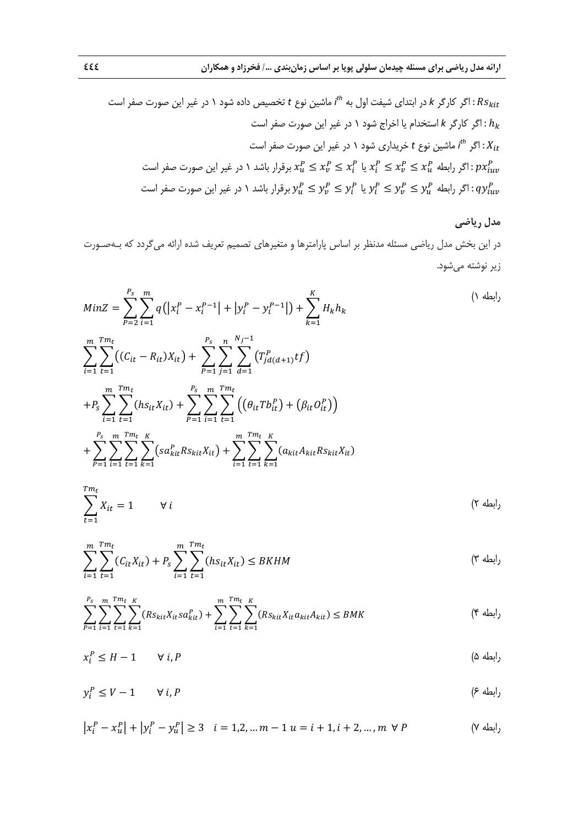$$
t
$$
ه: اگر کارگر *א* در ابتدای شیفت اول به  $t^h$  ماشین نوع t قصیص داده شود ۱ در غیر این صورت مفر است  
\n $h_k$  : اگر کارگر *א* استندام یا اخراج شود ۱ در غیر این صورت صفر است  
\n $X_{it}$   
\n $X_{it}$   
\n $x_t^P \le x_t^P \le x_t^P \le x_t^P$  مفر است ۱۵ز میر این صورت صفر است  
\n $x_t^P \le x_t^P \le x_t^P \le x_t^P$  رقرار باشد ۱ در غیر این صورت صفر است  
\n $y_t^P \le y_t^P \le y_t^P \le y_t^P \le y_t^P$  ی ایکه برقرار باشد ۱ در غیر این صورت صفر است

# **مدل رياضي**  در اين بخش مدل رياضي مسئله مدنظر بر اساس پارامترها و متغيرهاي تصميم تعريف شده ارائه ميگردد كه بـهصـورت زير نوشته ميشود.

$$
MinZ = \sum_{P=2}^{P_s} \sum_{i=1}^{m} q(|x_i^P - x_i^{P-1}| + |y_i^P - y_i^{P-1}|) + \sum_{k=1}^{K} H_k h_k
$$
  
\n
$$
\sum_{i=1}^{m} \sum_{t=1}^{Tm_t} ((C_{it} - R_{it})X_{it}) + \sum_{P=1}^{P_s} \sum_{j=1}^{n} \sum_{d=1}^{N_j-1} (T_{jd(d+1)}^P t)
$$
  
\n
$$
+ P_s \sum_{i=1}^{m} \sum_{t=1}^{Tm_t} (hs_{it}X_{it}) + \sum_{P=1}^{P_s} \sum_{i=1}^{m} \sum_{t=1}^{Tm_t} ((\theta_{it} T b_{it}^P) + (\beta_{it} O_{it}^P))
$$
  
\n
$$
+ \sum_{P=1}^{P_s} \sum_{i=1}^{m} \sum_{t=1}^{Tm_t} \sum_{k=1}^{K} (sa_{kit}^P Rs_{kit}X_{it}) + \sum_{i=1}^{m} \sum_{t=1}^{Tm_t} \sum_{k=1}^{K} (a_{kit}A_{kit}Rs_{kit}X_{it})
$$

$$
\sum_{t=1}^{Tm_t} X_{it} = 1 \qquad \forall i
$$
\n
$$
(5 \text{ k})
$$

$$
\sum_{i=1}^{m} \sum_{t=1}^{Tm_t} (C_{it}X_{it}) + P_s \sum_{i=1}^{m} \sum_{t=1}^{Tm_t} (hs_{it}X_{it}) \leq BKHM
$$
 (7)

$$
\sum_{P=1}^{P_S} \sum_{i=1}^{m} \sum_{t=1}^{T m_t} \sum_{k=1}^{K} (R s_{kit} X_{it} s a_{kit}^P) + \sum_{i=1}^{m} \sum_{t=1}^{T m_t} \sum_{k=1}^{K} (R s_{kit} X_{it} a_{kit} A_{kit}) \leq BMK
$$
 († 4)

$$
x_i^P \le H - 1 \qquad \forall \ i, P
$$
\n
$$
( \Delta \text{ d} \Delta \text{ d} \text{ e}^{-1} \text{ e}^{-1} \text{ e}^{-1} \text{ e}^{-1} \text{ e}^{-1} \text{ e}^{-1} \text{ e}^{-1} \text{ e}^{-1} \text{ e}^{-1} \text{ e}^{-1} \text{ e}^{-1} \text{ e}^{-1} \text{ e}^{-1} \text{ e}^{-1} \text{ e}^{-1} \text{ e}^{-1} \text{ e}^{-1} \text{ e}^{-1} \text{ e}^{-1} \text{ e}^{-1} \text{ e}^{-1} \text{ e}^{-1} \text{ e}^{-1} \text{ e}^{-1} \text{ e}^{-1} \text{ e}^{-1} \text{ e}^{-1} \text{ e}^{-1} \text{ e}^{-1} \text{ e}^{-1} \text{ e}^{-1} \text{ e}^{-1} \text{ e}^{-1} \text{ e}^{-1} \text{ e}^{-1} \text{ e}^{-1} \text{ e}^{-1} \text{ e}^{-1} \text{ e}^{-1} \text{ e}^{-1} \text{ e}^{-1} \text{ e}^{-1} \text{ e}^{-1} \text{ e}^{-1} \text{ e}^{-1} \text{ e}^{-1} \text{ e}^{-1} \text{ e}^{-1} \text{ e}^{-1} \text{ e}^{-1} \text{ e}^{-1} \text{ e}^{-1} \text{ e}^{-1} \text{ e}^{-1} \text{ e}^{-1} \text{ e}^{-1} \text{ e}^{-1} \text{ e}^{-1} \text{ e}^{-1} \text{ e}^{-1} \text{ e}^{-1} \text{ e}^{-1} \text{ e}^{-1} \text{ e}^{-1} \text{ e}^{-1} \text{ e}^{-1} \text{ e}^{-1} \text{ e}^{-1} \text{ e}^{-1} \text{ e}^{-1} \text{ e}^{-1} \text{ e}^{-1} \text{ e}^{-1} \text{ e}^{-1} \text{ e}^{-1} \text{ e}^{-1} \text{ e}^{-1} \text{ e}^{-1} \text{ e}^{-1} \text{ e}^{-1} \text{ e}^{-1} \text{ e}^{-1} \text{ e}^{-1} \text{ e}^{-1} \text{ e}^{-1} \text{ e}^{-1} \text{ e}^{-1} \text{ e}^{-1} \text{ e}^{-1} \text{ e
$$

$$
y_i^P \le V - 1 \qquad \forall i, P \tag{8}
$$

$$
\left| x_i^P - x_u^P \right| + \left| y_i^P - y_u^P \right| \ge 3 \quad i = 1, 2, \dots, m - 1 \quad u = i + 1, i + 2, \dots, m \quad \forall \ P
$$
 (Y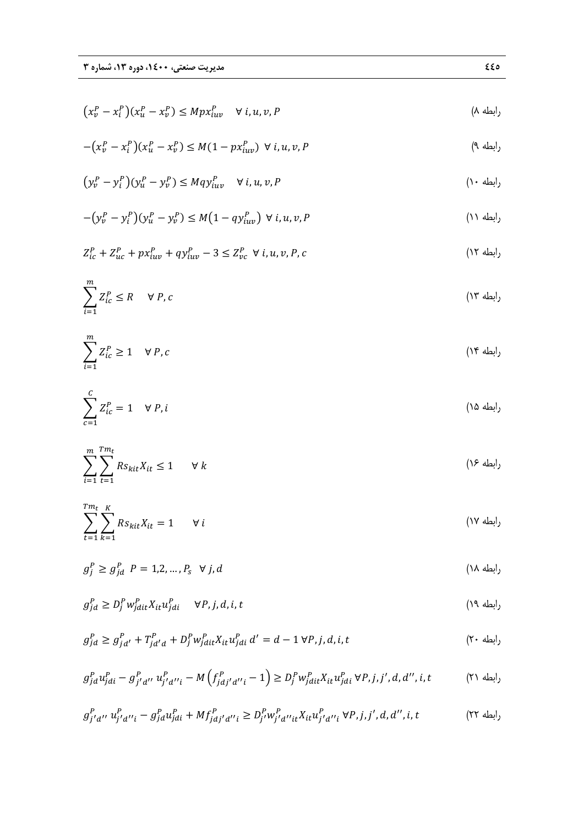$$
\left(x_v^P - x_i^P\right)\left(x_u^P - x_v^P\right) \le Mpx_{iuv}^P \quad \forall \ i, u, v, P \tag{A}
$$

$$
-(x_v^P - x_i^P)(x_u^P - x_v^P) \le M(1 - px_{iuv}^P) \ \forall \ i, u, v, P
$$
\n
$$
(2\pi)^2 \left(1 - \frac{w}{2}\right) \le M(1 - px_{iuv}^P) \ \forall \ i, u, v, P
$$

$$
\left(y_v^P - y_i^P\right)\left(y_u^P - y_v^P\right) \le Mq y_{iuv}^P \quad \forall \ i, u, v, P
$$
\n<sup>(\dagger \cdot \text{d}u)</sup>

$$
-(y_v^P - y_i^P)(y_u^P - y_v^P) \le M(1 - qy_{iuv}^P) \ \forall \ i, u, v, P
$$
\n(1)

$$
Z_{ic}^{P} + Z_{uc}^{P} + px_{iuv}^{P} + qy_{iuv}^{P} - 3 \le Z_{vc}^{P} \ \forall \ i, u, v, P, c
$$
 (17)

$$
\sum_{i=1}^{m} Z_{ic}^{P} \le R \quad \forall P, c
$$
 (17)

$$
\sum_{i=1}^{m} Z_{ic}^{P} \ge 1 \quad \forall P, c
$$
 (15)

$$
\sum_{c=1}^{C} Z_{ic}^{P} = 1 \quad \forall P, i
$$
 (10)

$$
\sum_{i=1}^{m} \sum_{t=1}^{Tm_t} R s_{kit} X_{it} \le 1 \qquad \forall k
$$
 (15)

$$
\sum_{t=1}^{Tm_t} \sum_{k=1}^{K} Rs_{kit}X_{it} = 1 \qquad \forall i
$$
 (1V)  
(1V)

$$
g_j^P \ge g_{jd}^P \quad P = 1, 2, \dots, P_s \quad \forall \ j, d \tag{14}
$$

$$
g_{jd}^P \ge D_j^P w_{jdit}^P X_{it} u_{jdi}^P \qquad \forall P, j, d, i, t
$$

$$
g_{jd}^P \ge g_{jd'}^P + T_{jd'd}^P + D_j^P w_{jdit}^P X_{it} u_{jdi}^P d' = d - 1 \,\forall P, j, d, i, t
$$
\n
$$
(Y \cdot d\mu)_{ij} = \sum_{i=1}^{n} \sum_{j=1}^{n} \sum_{j=1}^{n} \sum_{j=1}^{n} \sum_{j=1}^{n} \sum_{j=1}^{n} \sum_{j=1}^{n} \sum_{j=1}^{n} \sum_{j=1}^{n} \sum_{j=1}^{n} \sum_{j=1}^{n} \sum_{j=1}^{n} \sum_{j=1}^{n} \sum_{j=1}^{n} \sum_{j=1}^{n} \sum_{j=1}^{n} \sum_{j=1}^{n} \sum_{j=1}^{n} \sum_{j=1}^{n} \sum_{j=1}^{n} \sum_{j=1}^{n} \sum_{j=1}^{n} \sum_{j=1}^{n} \sum_{j=1}^{n} \sum_{j=1}^{n} \sum_{j=1}^{n} \sum_{j=1}^{n} \sum_{j=1}^{n} \sum_{j=1}^{n} \sum_{j=1}^{n} \sum_{j=1}^{n} \sum_{j=1}^{n} \sum_{j=1}^{n} \sum_{j=1}^{n} \sum_{j=1}^{n} \sum_{j=1}^{n} \sum_{j=1}^{n} \sum_{j=1}^{n} \sum_{j=1}^{n} \sum_{j=1}^{n} \sum_{j=1}^{n} \sum_{j=1}^{n} \sum_{j=1}^{n} \sum_{j=1}^{n} \sum_{j=1}^{n} \sum_{j=1}^{n} \sum_{j=1}^{n} \sum_{j=1}^{n} \sum_{j=1}^{n} \sum_{j=1}^{n} \sum_{j=1}^{n} \sum_{j=1}^{n} \sum_{j=1}^{n} \sum_{j=1}^{n} \sum_{j=1}^{n} \sum_{j=1}^{n} \sum_{j=1}^{n} \sum_{j=1}^{n} \sum_{j=1}^{n} \sum_{j=1}^{n} \sum_{j=1}^{n} \sum_{j=1}^{n} \sum_{j=1}^{n} \sum_{j=1}^{n} \sum_{j=1}^{n} \sum_{j=1}^{n} \sum_{j=1}^{n} \sum_{j
$$

$$
g_{jd}^{P}u_{jdi}^{P} - g_{j'd''}^{P}u_{j'd''i}^{P} - M(f_{jd'd''i}^{P} - 1) \ge D_{j}^{P}w_{jdit}^{P}X_{it}u_{jdi}^{P} \forall P, j, j', d, d'', i, t
$$
 (1)

$$
g_{j'd''}^P u_j^P u_{j'd''i} - g_{jd}^P u_{jdi}^P + Mf_{jdj'd''i}^P \ge D_{j'}^P w_{j'd''it}^P X_{it} u_{j'd''i}^P \forall P, j, j', d, d'', i, t
$$
 (YY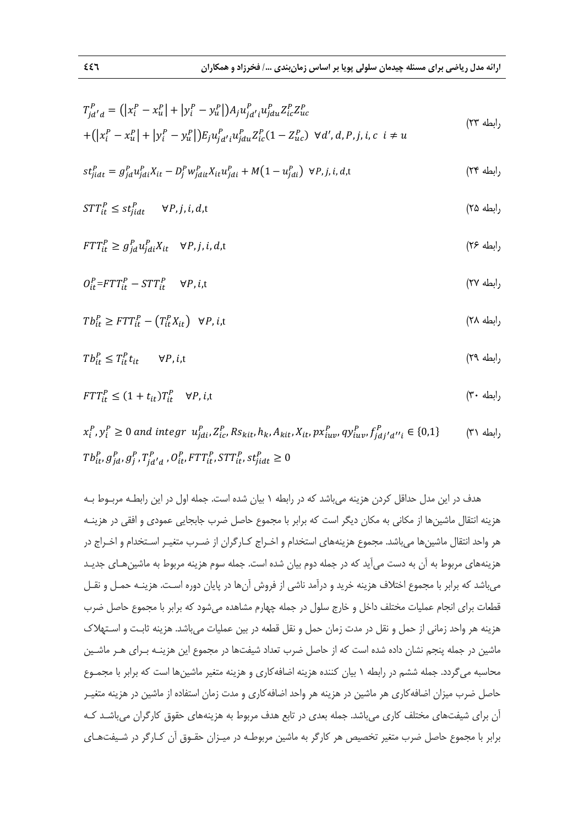$$
T_{jd'd}^{P} = (|x_i^P - x_u^P| + |y_i^P - y_u^P|)A_j u_{jd'i}^{P} u_{jdu}^{P} Z_{ic}^{P} Z_{uc}^{P}
$$
  
+ 
$$
(|x_i^P - x_u^P| + |y_i^P - y_u^P|)E_j u_{jd'i}^{P} u_{jdu}^{P} Z_{ic}^{P} (1 - Z_{uc}^{P}) \ \forall d', d, P, j, i, c \ i \neq u
$$
 (YY

$$
st_{jidt}^P = g_{jd}^P u_{jdi}^P X_{it} - D_j^P w_{jdi}^P X_{it} u_{jdi}^P + M(1 - u_{jdi}^P) \ \forall P, j, i, d, t
$$
 (Y<sup>e</sup>)

$$
STT_{it}^{P} \le st_{jidt}^{P} \qquad \forall P, j, i, d, t \tag{72}
$$

$$
FTT_{it}^{P} \ge g_{jd}^{P} u_{jdi}^{P} X_{it} \quad \forall P, j, i, d, t
$$
\n
$$
(Y^{\varphi})^{\mathcal{P}} \ge \langle Y^{\varphi} u_{jdi}^{P} X_{it} \rangle \quad \forall j \in \mathbb{N}
$$

$$
O_{it}^{P} = FTT_{it}^{P} - STT_{it}^{P} \qquad \forall P, i, t
$$
\n
$$
(YV - T_{it})^{P} = TTT_{it}^{P} \qquad \forall P, i, t
$$

$$
Tb_{it}^P \geq FTT_{it}^P - (T_{it}^PX_{it}) \quad \forall P, i, t
$$
\n
$$
(Y \wedge \text{d}W) \geq T\sum_{i=1}^N (T_i^P Y_{it}) \quad \forall P, i, t
$$

$$
T b_{it}^P \le T_{it}^P t_{it} \qquad \forall P, i, t \tag{19}
$$

<sup>௧</sup> رابطه 30) ܶܶܨ ≤ (1+ݐ௧)ܶ௧ ∀ܲ, ݅,t

 $x_i^P$  ,  $y_i^P \geq 0$  and integr  $u_{jdi}^P$ ,  $Z_{ic}^P$ ,  $Rs_{kit}$ ,  $h_k$ ,  $A_{kit}$ ,  $X_{it}$ ,  $px_{iuv}^P$ ,  $q y_{iuv}^P$ ,  $f_{jdj'd''i}^P \in \{0,1\}$  (۳۱  $Tb_{it}^{P}, g_{jd}^{P}, g_{j}^{P}, T_{jd'd}^{P}, O_{it}^{P}, FTT_{it}^{P}, STT_{it}^{P}, st_{jidt}^{P} \geq 0$ 

هدف در اين مدل حداقل كردن هزينه ميباشد كه در رابطه 1 بيان شده است. جمله اول در اين رابطـه مربـوط بـه هزينه انتقال ماشينها از مكاني به مكان ديگر است كه برابر با مجموع حاصل ضرب جابجايي عمودي و افقي در هزينـه هر واحد انتقال ماشينها ميباشد. مجموع هزينههاي استخدام و اخـراج كـارگران از ضـرب متغيـر اسـتخدام و اخـراج در هزينههاي مربوط به آن به دست ميآيد كه در جمله دوم بيان شده است. جمله سوم هزينه مربوط به ماشينهـاي جديـد ميباشد كه برابر با مجموع اختلاف هزينه خريد و درآمد ناشي از فروش آنها در پايان دوره اسـت. هزينـه حمـل و نقـل قطعات براي انجام عمليات مختلف داخل و خارج سلول در جمله چهارم مشاهده ميشود كه برابر با مجموع حاصل ضرب هزينه هر واحد زماني از حمل و نقل در مدت زمان حمل و نقل قطعه در بين عمليات ميباشد. هزينه ثابـت و اسـتهلاك ماشين در جمله پنجم نشان داده شده است كه از حاصل ضرب تعداد شيفتها در مجموع اين هزينـه بـراي هـر ماشـين محاسبه ميگردد. جمله ششم در رابطه 1 بيان كننده هزينه اضافهكاري و هزينه متغير ماشينها است كه برابر با مجمـوع حاصل ضرب ميزان اضافهكاري هر ماشين در هزينه هر واحد اضافهكاري و مدت زمان استفاده از ماشين در هزينه متغيـر آن براي شيفتهاي مختلف كاري ميباشد. جمله بعدي در تابع هدف مربوط به هزينههاي حقوق كارگران ميباشـد كـه برابر با مجموع حاصل ضرب متغير تخصيص هر كارگر به ماشين مربوطـه در ميـزان حقـوق آن كـارگر در شـيفتهـاي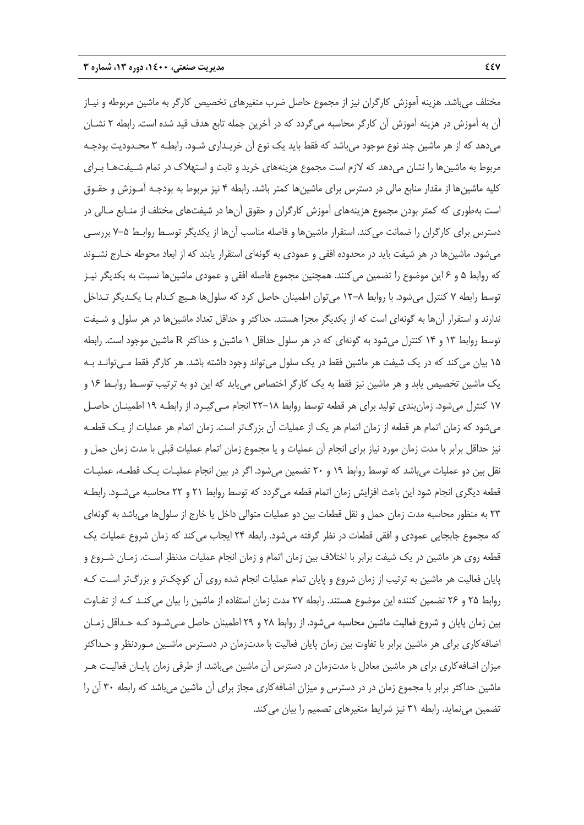مختلف ميباشد. هزينه آموزش كارگران نيز از مجموع حاصل ضرب متغيرهاي تخصيص كارگر به ماشين مربوطه و نيـاز آن به آموزش در هزينه آموزش آن كارگر محاسبه ميگردد كه در آخرين جمله تابع هدف قيد شده است. رابطه 2 نشـان ميدهد كه از هر ماشين چند نوع موجود ميباشد كه فقط بايد يك نوع آن خريـداري شـود. رابطـه 3 محـدوديت بودجـه مربوط به ماشينها را نشان ميدهد كه لازم است مجموع هزينههاي خريد و ثابت و استهلاك در تمام شـيفتهـا بـراي كليه ماشينها از مقدار منابع مالي در دسترس براي ماشينها كمتر باشد. رابطه 4 نيز مربوط به بودجـه آمـوزش و حقـوق است بهطوري كه كمتر بودن مجموع هزينههاي آموزش كارگران و حقوق آنها در شيفتهاي مختلف از منـابع مـالي در دسترس براي كارگران را ضمانت ميكند. استقرار ماشينها و فاصله مناسب آنها از يكديگر توسـط روابـط 7-5 بررسـي ميشود. ماشينها در هر شيفت بايد در محدوده افقي و عمودي به گونهاي استقرار يابند كه از ابعاد محوطه خـارج نشـوند كه روابط 5 و 6 اين موضوع را تضمين ميكنند. همچنين مجموع فاصله افقي و عمودي ماشينها نسبت به يكديگر نيـز توسط رابطه 7 كنترل ميشود. با روابط 12-8 ميتوان اطمينان حاصل كرد كه سلولها هـيچ كـدام بـا يكـديگر تـداخل ندارند و استقرار آنها به گونهاي است كه از يكديگر مجزا هستند. حداكثر و حداقل تعداد ماشينها در هر سلول و شـيفت توسط روابط 13 و 14 كنترل ميشود به گونهاي كه در هر سلول حداقل 1 ماشين و حداكثر R ماشين موجود است. رابطه 15 بيان ميكند كه در يك شيفت هر ماشين فقط در يك سلول ميتواند وجود داشته باشد. هر كارگر فقط مـيتوانـد بـه يك ماشين تخصيص يابد و هر ماشين نيز فقط به يك كارگر اختصاص مييابد كه اين دو به ترتيب توسـط روابـط 16 و 17 كنترل ميشود. زمانبندي توليد براي هر قطعه توسط روابط 22-18 انجام مـيگيـرد. از رابطـه 19 اطمينـان حاصـل ميشود كه زمان اتمام هر قطعه از زمان اتمام هر يك از عمليات آن بزرگتر است. زمان اتمام هر عمليات از يـك قطعـه نيز حداقل برابر با مدت زمان مورد نياز براي انجام آن عمليات و يا مجموع زمان اتمام عمليات قبلي با مدت زمان حمل و نقل بين دو عمليات ميباشد كه توسط روابط 19 و 20 تضمين ميشود. اگر در بين انجام عمليـات يـك قطعـه، عمليـات قطعه ديگري انجام شود اين باعث افزايش زمان اتمام قطعه ميگردد كه توسط روابط 21 و 22 محاسبه ميشـود. رابطـه 23 به منظور محاسبه مدت زمان حمل و نقل قطعات بين دو عمليات متوالي داخل يا خارج از سلولها ميباشد به گونهاي كه مجموع جابجايي عمودي و افقي قطعات در نظر گرفته ميشود. رابطه 24 ايجاب ميكند كه زمان شروع عمليات يك قطعه روي هر ماشين در يك شيفت برابر با اختلاف بين زمان اتمام و زمان انجام عمليات مدنظر اسـت. زمـان شـروع و پايان فعاليت هر ماشين به ترتيب از زمان شروع و پايان تمام عمليات انجام شده روي آن كوچكتر و بزرگتر اسـت كـه روابط 25 و 26 تضمين كننده اين موضوع هستند. رابطه 27 مدت زمان استفاده از ماشين را بيان ميكنـد كـه از تفـاوت بين زمان پايان و شروع فعاليت ماشين محاسبه ميشود. از روابط 28 و 29 اطمينان حاصل مـيشـود كـه حـداقل زمـان اضافهكاري براي هر ماشين برابر با تفاوت بين زمان پايان فعاليت با مدتزمان در دسـترس ماشـين مـوردنظر و حـداكثر ميزان اضافهكاري براي هر ماشين معادل با مدتزمان در دسترس آن ماشين ميباشد. از طرفي زمان پايـان فعاليـت هـر ماشين حداكثر برابر با مجموع زمان در در دسترس و ميزان اضافهكاري مجاز براي آن ماشين ميباشد كه رابطه 30 آن را تضمين مينمايد. رابطه 31 نيز شرايط متغيرهاي تصميم را بيان ميكند.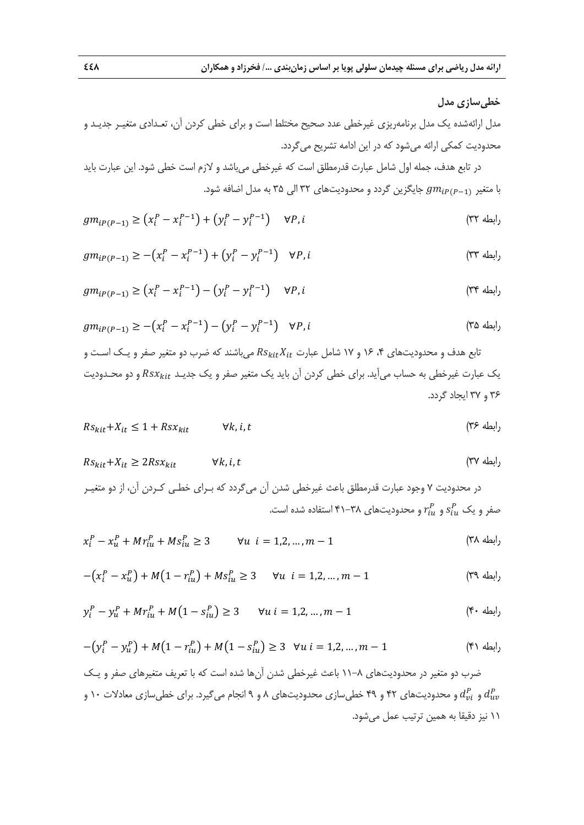# **خطيسازي مدل**

مدل ارائهشده يك مدل برنامهريزي غيرخطي عدد صحيح مختلط است و براي خطي كردن آن، تعـدادي متغيـر جديـد و محدوديت كمكي ارائه ميشود كه در اين ادامه تشريح ميگردد.

در تابع هدف، جمله اول شامل عبارت قدرمطلق است كه غيرخطي ميباشد و لازم است خطي شود. اين عبارت بايد با متغير رہے $g m_{i P (P-1)}$  جايگزين گردد و محدوديتھاي ٣٢ الي ٣۵ به مدل اضافه شود.

$$
gm_{iP(P-1)} \ge (x_i^P - x_i^{P-1}) + (y_i^P - y_i^{P-1}) \qquad \forall P, i
$$
\n
$$
(rr \text{ with } r \in \mathbb{N})
$$

$$
gm_{iP(P-1)} \ge -\left(x_i^P - x_i^{P-1}\right) + \left(y_i^P - y_i^{P-1}\right) \quad \forall P, i
$$
\n(TT

$$
gm_{iP(P-1)} \ge (x_i^P - x_i^{P-1}) - (y_i^P - y_i^{P-1}) \quad \forall P, i
$$
\n
$$
(T^{\varphi})^{\text{odd}} \ge (T^{\varphi})^{\text{even}} \quad \forall P, j \in \mathbb{N}
$$

$$
gm_{iP(P-1)} \ge -\left(x_i^P - x_i^{P-1}\right) - \left(y_i^P - y_i^{P-1}\right) \quad \forall P, i
$$
 (70)

تابع هدف و محدوديتهاي ۴، ۱۶ و ۱۷ شامل عبارت  $Rs_{kit}X_{it}$  مي باشند كه ضرب دو متغير صفر و يـك اسـت و يک عبارت غيرخطي به حساب ميآيد. براي خطي كردن آن بايد يک متغير صفر و يک جديـد  $\textit{Rsx}_{kit}$  و دو محـدوديت 36 و 37 ايجاد گردد.

ݐ ݅, ݇,∀ ௧ݔݏܴ + 1 ≥ ௧+ܺ௧ رابطه 36) ݏܴ

$$
Rs_{kit} + X_{it} \ge 2Rsx_{kit} \qquad \forall k, i, t
$$
\n
$$
(4.7 \pm 0.000) \times 10^{-4} \text{ J}
$$

در محدوديت 7 وجود عبارت قدرمطلق باعث غيرخطي شدن آن ميگردد كه بـراي خطـي كـردن آن، از دو متغيـر صفر و یک  $s_{iu}^{P}$  و  $r_{iu}^{P}$  و محدودیتهای ۳۸–۴۱ استفاده شده است.

$$
x_i^P - x_u^P + Mr_{iu}^P + Ms_{iu}^P \ge 3 \qquad \forall u \ \ i = 1, 2, ..., m - 1 \tag{YA}
$$

$$
-(x_i^P - x_u^P) + M(1 - r_{iu}^P) + M s_{iu}^P \ge 3 \qquad \forall u \quad i = 1, 2, ..., m-1
$$
 (79)

$$
y_i^P - y_u^P + Mr_{iu}^P + M(1 - s_{iu}^P) \ge 3 \qquad \forall u \ i = 1, 2, ..., m - 1 \tag{9.1}
$$

$$
-(y_i^P - y_u^P) + M(1 - r_{iu}^P) + M(1 - s_{iu}^P) \ge 3 \quad \forall u \ i = 1, 2, ..., m - 1
$$
 (f)

ضرب دو متغير در محدوديتهاي 11-8 باعث غيرخطي شدن آنها شده است كه با تعريف متغيرهاي صفر و يـك و  $d_{\nu}^{P}$  و محدودیتهای ۴۲ و ۴۹ خطی $\omega$ ازی محدودیتهای ۸ و ۹ انجام میگیرد. برای خطی $d_{\nu}^{P}$  و  $d_{\nu}^{P}$  و  $d_{\nu}^{P}$ 11 نيز دقيقا به همين ترتيب عمل ميشود.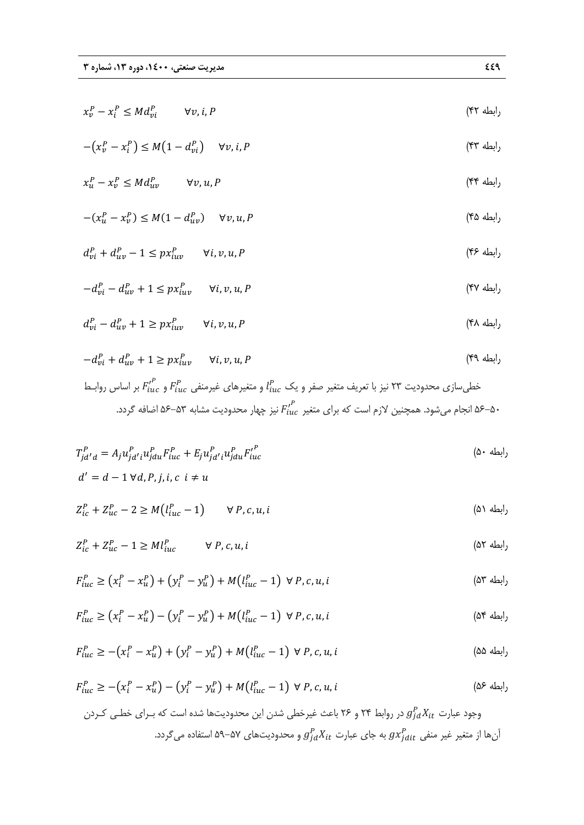$x_v^P - x_i^P \leq M d_{vi}^P$   $\forall v, i, P$  (۴۲

$$
-(x_v^P - x_i^P) \le M\left(1 - d_{vi}^P\right) \quad \forall v, i, P
$$
\n(\text{FT} \quad \text{with} \quad \text{if } \text{ST} \quad \text{if } \text{ST} \quad \text{if } \text{ST} \quad \text{if } \text{ST} \quad \text{if } \text{ST} \quad \text{if } \text{ST} \quad \text{if } \text{ST} \quad \text{if } \text{ST} \quad \text{if } \text{ST} \quad \text{if } \text{ST} \quad \text{if } \text{ST} \quad \text{if } \text{ST} \quad \text{if } \text{ST} \quad \text{if } \text{ST} \quad \text{if } \text{ST} \quad \text{if } \text{ST} \quad \text{if } \text{ST} \quad \text{if } \text{ST} \quad \text{if } \text{ST} \quad \text{if } \text{ST} \quad \text{if } \text{ST} \quad \text{if } \text{ST} \quad \text{if } \text{ST} \quad \text{if } \text{ST} \quad \text{if } \text{ST} \quad \text{if } \text{ST} \quad \text{if } \text{ST} \quad \text{if } \text{ST} \quad \text{if } \text{ST} \quad \text{if } \text{ST} \quad \text{if } \text{ST} \quad \text{if } \text{ST} \quad \text{if } \text{ST} \quad \text{if } \text{ST} \quad \text{if } \text{ST} \quad \text{if } \text{ST} \quad \text{if } \text{ST} \quad \text{if } \text{ST} \quad \text{if } \text{ST} \quad \text{if } \text{ST} \quad \text{if } \text{ST} \quad \text{if } \text{ST} \quad \text{if } \text{ST} \quad \text{if } \text{ST} \quad \text{if } \text{ST} \quad \text{if } \text{ST} \quad \text{if } \text{ST} \quad \text{if } \text{ST} \quad \text{if } \text{ST} \quad \text{if } \text{ST} \quad \text{if } \text{ST} \quad \text{if } \text{ST} \quad \text{if } \text{ST} \quad \text{if } \text{ST} \quad \text{if } \text{ST} \quad \text{if } \text{ST} \quad \text{if } \text{ST} \quad \text{if } \text{ST} \quad \text{if } \

$$
x_u^P - x_v^P \leq Md_{uv}^P \qquad \forall v, u, P
$$
\n<sup>(\text{YY})</sup>

$$
-(x_u^P - x_v^P) \le M(1 - d_{uv}^P) \qquad \forall v, u, P
$$
\n<sup>(6)</sup>

$$
d_{vi}^P + d_{uv}^P - 1 \le px_{iuv}^P \qquad \forall i, v, u, P
$$
\n
$$
(f \circ \text{d}_{uv}^P) = \text{d}_{uv}^P
$$

$$
-d_{vi}^P - d_{uv}^P + 1 \le px_{iuv}^P \qquad \forall i, v, u, P
$$
\n
$$
(fV + 1) \le (fV + 1) \le (fV + 1) \le (fV + 1) \le (fV + 1) \le (fV + 1) \le (fV + 1) \le (fV + 1) \le (fV + 1) \le (fV + 1) \le (fV + 1) \le (fV + 1) \le (fV + 1) \le (fV + 1) \le (fV + 1) \le (fV + 1) \le (fV + 1) \le (fV + 1) \le (fV + 1) \le (fV + 1) \le (fV + 1) \le (fV + 1) \le (fV + 1) \le (fV + 1) \le (fV + 1) \le (fV + 1) \le (fV + 1) \le (fV + 1) \le (fV + 1) \le (fV + 1) \le (fV + 1) \le (fV + 1) \le (fV + 1) \le (fV + 1) \le (fV + 1) \le (fV + 1) \le (fV + 1) \le (fV + 1) \le (fV + 1) \le (fV + 1) \le (fV + 1) \le (fV + 1) \le (fV + 1) \le (fV + 1) \le (fV + 1) \le (fV + 1) \le (fV + 1) \le (fV + 1) \le (fV + 1) \le (fV + 1) \le (fV + 1) \le (fV + 1) \le (fV + 1) \le (fV + 1) \le (fV + 1) \le (fV + 1) \le (fV + 1) \le (fV + 1) \le (fV + 1) \le (fV + 1) \le (fV + 1) \le (fV + 1) \le (fV + 1) \le (fV + 1) \le (fV + 1) \le (fV + 1) \le (fV + 1) \le (fV + 1) \le (fV + 1) \le (fV + 1) \le (fV + 1) \le (fV + 1) \le (fV + 1) \le (fV + 1) \le (fV + 1) \le (fV + 1) \le (fV + 1) \le (fV + 1) \le (fV + 1) \le (
$$

$$
d_{vi}^P - d_{uv}^P + 1 \ge px_{iuv}^P \qquad \forall i, v, u, P
$$
\n
$$
(f \wedge d_{iv})^P
$$

$$
-d_{vi}^P + d_{uv}^P + 1 \ge px_{iuv}^P \qquad \forall i, v, u, P
$$
\n
$$
(f^q, \mathbf{u})
$$

خطی $F'^{P}_{iuc}$  بر اساس روابـط  $l^{P}_{iuc}$  متغیر صفر و یک $l^{P}_{iuc}$  و متغیرهای غیرمنفی  $F^{P}_{iuc}$  و  $F'^{P}_{iuc}$  بر اساس روابـط ه انجام میشود. همچنین لازم است که برای متغیر  ${F'_{iuc}}^P$  نیز چهار محدودیت مشابه ۵۳–۵۶ اضافه گردد. $\sim$ ۵۶ ا

$$
T_{jd'd}^P = A_j u_{jd'i}^P u_{idu}^P F_{inc}^P + E_j u_{jd'i}^P u_{idu}^P F_{inc}^{i^P}
$$
  
( $\Delta \cdot \Delta t$ )  
 $d' = d - 1 \forall d, P, j, i, c \quad i \neq u$ 

$$
Z_{ic}^P + Z_{uc}^P - 2 \ge M(l_{inc}^P - 1) \qquad \forall P, c, u, i
$$
 (2)

$$
Z_{ic}^P + Z_{uc}^P - 1 \ge M l_{inc}^P \qquad \forall P, c, u, i
$$
 (87)

$$
F_{iuc}^P \ge (x_i^P - x_u^P) + (y_i^P - y_u^P) + M(l_{iuc}^P - 1) \ \forall \ P, c, u, i
$$
 (a<sup>r</sup> du)

$$
F_{iuc}^P \ge (x_i^P - x_u^P) - (y_i^P - y_u^P) + M(l_{iuc}^P - 1) \ \forall \ P, c, u, i
$$
 (0<sup>\*</sup>)

$$
F_{iuc}^{P} \ge -\left(x_{i}^{P} - x_{u}^{P}\right) + \left(y_{i}^{P} - y_{u}^{P}\right) + M\left(l_{iuc}^{P} - 1\right) \ \forall \ P, c, u, i
$$

$$
F_{iuc}^{P} \ge -(x_{i}^{P} - x_{u}^{P}) - (y_{i}^{P} - y_{u}^{P}) + M(l_{iuc}^{P} - 1) \forall P, c, u, i
$$
 (۵۶  
وجود عبارت 
$$
g_{jd}^{P}X_{it}
$$
 در روابط ۲۴ و ۲۶ باعث غیرخطی شدن این محدودیتها شده است که برای خطی کردن  
آنها از متغیر غیر منفی 
$$
g_{jd}^{P}X_{it}
$$
 به جای عبارت 
$$
g_{jd}^{P}X_{it}
$$
 و محدودیتهای ۵۵–۵۷ استفاده میگردد.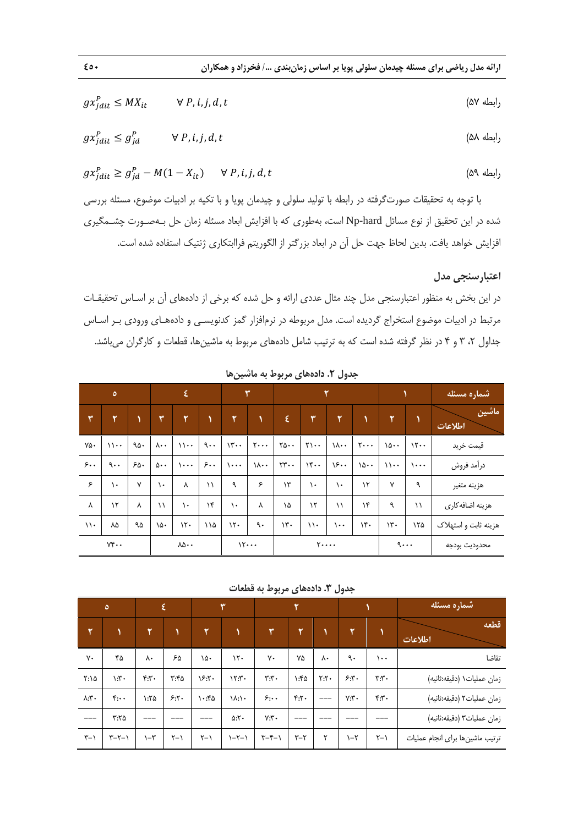$$
gx_{jdit}^P \le MX_{it} \qquad \forall P, i, j, d, t \qquad ( \Delta Y \Delta U) \qquad \qquad ( \Delta Y \Delta U) \qquad \qquad ( \Delta Y \Delta U) \qquad \qquad ( \Delta Y \Delta U) \qquad \qquad ( \Delta Y \Delta U) \qquad \qquad ( \Delta Y \Delta U) \qquad \qquad ( \Delta Y \Delta U) \qquad \qquad ( \Delta Y \Delta U) \qquad \qquad ( \Delta Y \Delta U) \qquad \qquad ( \Delta Y \Delta U) \qquad \qquad ( \Delta Y \Delta U) \qquad \qquad ( \Delta Y \Delta U) \qquad \qquad ( \Delta Y \Delta U) \qquad \qquad ( \Delta Y \Delta U) \qquad \qquad ( \Delta Y \Delta U) \qquad \qquad ( \Delta Y \Delta U) \qquad \qquad ( \Delta Y \Delta U) \qquad \qquad ( \Delta Y \Delta U) \qquad \qquad ( \Delta Y \Delta U) \qquad \qquad ( \Delta Y \Delta U) \qquad \qquad ( \Delta Y \Delta U) \qquad \qquad ( \Delta Y \Delta U) \qquad \qquad ( \Delta Y \Delta U) \qquad \qquad ( \Delta Y \Delta U) \qquad \qquad ( \Delta Y \Delta U) \qquad \qquad ( \Delta Y \Delta U) \qquad \qquad ( \Delta Y \Delta U) \qquad \qquad ( \Delta Y \Delta U) \qquad \qquad ( \Delta Y \Delta U) \qquad \qquad ( \Delta Y \Delta U) \qquad \qquad ( \Delta Y \Delta U) \qquad \qquad ( \Delta Y \Delta U) \qquad \qquad ( \Delta Y \Delta U) \qquad \qquad ( \Delta Y \Delta U) \qquad \qquad ( \Delta Y \Delta U) \qquad \qquad ( \Delta Y \Delta U) \qquad \qquad ( \Delta Y \Delta U) \qquad \qquad ( \Delta Y \Delta U) \qquad \qquad ( \Delta Y \Delta U) \qquad \qquad ( \Delta Y \Delta U) \qquad \qquad ( \Delta Y \Delta U) \qquad \qquad ( \Delta Y \Delta U) \qquad \qquad ( \Delta Y \Delta U) \qquad \qquad ( \Delta Y \Delta U) \qquad \qquad ( \Delta Y \Delta U) \qquad \qquad ( \Delta Y \Delta U) \qquad \qquad ( \Delta Y \Delta U) \qquad \qquad ( \Delta Y \Delta U) \qquad \qquad ( \Delta Y \Delta U) \qquad \qquad ( \Delta Y \Delta U) \qquad \qquad ( \Delta Y \Delta U) \qquad \qquad ( \Delta Y \Delta U) \qquad \qquad (
$$

$$
gx_{jdit}^P \le g_{jd}^P \qquad \forall P, i, j, d, t \qquad (\Delta \Delta)
$$

$$
gx_{jdit}^{P} \ge g_{jd}^{P} - M(1 - X_{it}) \qquad \forall P, i, j, d, t
$$
 (84)

با توجه به تحقيقات صورتگرفته در رابطه با توليد سلولي و چيدمان پويا و با تكيه بر ادبيات موضوع، مسئله بررسي شده در اين تحقيق از نوع مسائل hard-Np است، بهطوري كه با افزايش ابعاد مسئله زمان حل بـهصـورت چشـمگيري افزايش خواهد يافت. بدين لحاظ جهت حل آن در ابعاد بزرگتر از الگوريتم فراابتكاري ژنتيك استفاده شده است.

# **اعتبارسنجي مدل**

در اين بخش به منظور اعتبارسنجي مدل چند مثال عددي ارائه و حل شده كه برخي از دادههاي آن بر اسـاس تحقيقـات مرتبط در ادبيات موضوع استخراج گرديده است. مدل مربوطه در نرمافزار گمز كدنويسـي و دادههـاي ورودي بـر اسـاس جداول ،2 3 و 4 در نظر گرفته شده است كه به ترتيب شامل دادههاي مربوط به ماشينها، قطعات و كارگران ميباشد.

|                         | $\circ$       |     |                       | $\epsilon$            |             |                | ٣                              | ۲                             |                   |                       |                                | شماره مسئله             |                             |                      |
|-------------------------|---------------|-----|-----------------------|-----------------------|-------------|----------------|--------------------------------|-------------------------------|-------------------|-----------------------|--------------------------------|-------------------------|-----------------------------|----------------------|
| ٣                       | ۲             |     | ٣                     | $\mathbf{r}$          |             | $\overline{r}$ | $\mathbf{V}$                   | $\boldsymbol{\xi}$            | ۳                 | $\mathbf{Y}$          | $\mathbf{\hat{}}$              | $\overline{\mathbf{r}}$ |                             | ماشين<br>اطلاعات     |
| ٧۵٠                     | $\mathcal{U}$ | ۹۵۰ | $\lambda \cdot \cdot$ | $\mathcal{U}$         | 9.1         | $\mathcal{W}$  | $\mathbf{y} \cdot \cdot \cdot$ | $\Upsilon \Delta \cdot \cdot$ | $Y \cdot \cdot$   | $\lambda \cdot \cdot$ | $\mathbf{y} \cdot \cdot \cdot$ | 10                      | 15.4                        | قيمت خريد            |
| 5.                      | 9.1           | ۶۵۰ | $\Delta \cdot \cdot$  | $\cdots$              | 5.1         | $\cdots$       | $\lambda \cdot \cdot$          | $rr \cdot$                    | $\mathcal{W}$     | 15.                   | 10                             | $\mathcal{U}$           | $\lambda \cdot \cdot \cdot$ | درأمد فروش           |
| ۶                       | ١.            | ٧   | ١.                    | Λ                     | $\setminus$ | ٩              | ۶                              | $\mathcal{N}$                 | ١.                | ١.                    | ۱۲                             | ٧                       | ٩                           | هزينه متغير          |
| γ                       | $\mathcal{N}$ | Λ   | $\setminus$           | ١.                    | ۱۴          | ١.             | ٨                              | ١۵                            | $\mathcal{N}$     | $\setminus$           | ۱۴                             | ٩                       | $\setminus$                 | هزينه اضافه كارى     |
| $\backslash \backslash$ | ٨۵            | ۹۵  | ۱۵۰                   | 15.                   | ۱۱۵         | 15.            | ٩.                             | $\mathcal{N}$                 | $\setminus \cdot$ | $\cdots$              | ۱۴۰                            | $\mathcal{N}$           | ۱۲۵                         | هزينه ثابت و استهلاک |
|                         | $Y^*\cdot$    |     |                       | $\lambda\Delta\cdots$ |             |                | 15                             |                               |                   | $\mathbf{y} \dots$    |                                |                         | 9                           | محدوديت بودجه        |

**جدول .2 دادههاي مربوط به ماشينها** 

**جدول .3 دادههاي مربوط به قطعات** 

|                       | $\circ$            |                   | ٤       |             | ٣              |               | ۲               |                 |         |                           | اشماره مسئله                     |
|-----------------------|--------------------|-------------------|---------|-------------|----------------|---------------|-----------------|-----------------|---------|---------------------------|----------------------------------|
| ۲                     |                    | ۲۱                |         | ۳           |                | ٣             | ٢               |                 | ۳       |                           | قطعه<br>اطلاعات                  |
| ٧٠                    | ۴۵                 | ٨٠                | ۶۵      | ۱۵۰         | $\mathcal{N}$  | ٧٠            | ٧۵              | $\lambda \cdot$ | ٩.      | $\cdots$                  | تقاضا                            |
| $Y: \Delta$           | $\cdot$ 7:         | f:Y               | r:6     | 5.5.        | $\Upsilon$ .   | Y:Y           | $\lambda$       | Y:Y             | 5.5     | $\mathbf{r}:\mathbf{r}$ . | زمان عمليات ١ (دقيقه:ثانيه)      |
| $\lambda:\Upsilon$ .  | $\mathfrak{f}$ :   | $\lambda:Y\Delta$ | 5:5     | $\cdot$ :۴۵ | $\lambda$ :/ . | 5:4           | Y:Y             | $---$           | $Y:Y$ . | f:Y                       | زمان عمليات٢ (دقيقه:ثانيه)       |
| $---$                 | $Y:Y \Delta$       | ---               |         |             | $\Delta:Y$     | Y:Y           | ___             |                 |         | ---                       | زمان عمليات٣ (دقيقه:ثانيه)       |
| $\uparrow - \uparrow$ | $\tau-\tau-\gamma$ | $\neg \tau$       | $Y - Y$ | $Y - Y$     | $1 - 7 - 1$    | $\tau-\tau-1$ | $\tau$ - $\tau$ | ۲               | $-5$    | $\uparrow - \uparrow$     | ترتيب ماشين ها براى انجام عمليات |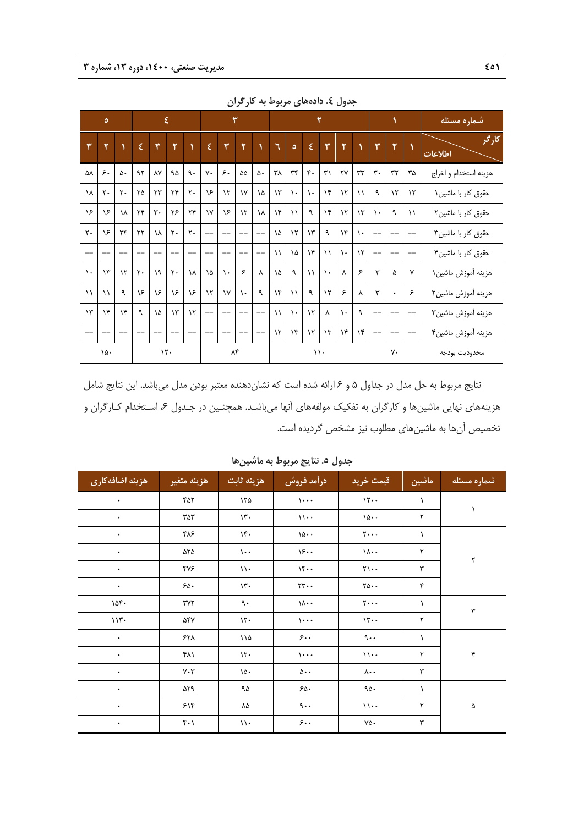|                | $\circ$        |                |                        |                        | $\pmb{\xi}$    |                |             |               | ٣             |     | ۲             |               |                   |               |                        | شماره مسئله   |                   |               |               |                       |
|----------------|----------------|----------------|------------------------|------------------------|----------------|----------------|-------------|---------------|---------------|-----|---------------|---------------|-------------------|---------------|------------------------|---------------|-------------------|---------------|---------------|-----------------------|
| ٣              | ٧              |                | ٤                      | $\mathbf{v}$           | ٧              |                | $\pmb{\xi}$ | $\mathbf{v}$  | ۲             |     | ٦             | $\circ$       | $\pmb{\xi}$       | $\mathbf{r}$  | ۲                      |               | ۳                 | ۲             | $\lambda$     | كارگر<br>اطلاعات      |
| ۵٨             | ۶.             | ۵٠             | ۹۲                     | ٨٧                     | ۹۵             | ٩.             | γ٠          | ۶٠            | ۵۵            | ۵۰  | ٣٨            | $\tau\tau$    | $\mathfrak{r}$ .  | $\mathbf{r}'$ | $\mathsf{Y}\mathsf{Y}$ | $\tau\tau$    | $\mathbf{r}$ .    | $\tau\tau$    | ۳۵            | هزينه استخدام و اخراج |
| ١٨             | $\mathsf{r}$ . | $\mathsf{r}$ . | ۲۵                     | $\mathsf{Y}\mathsf{Y}$ | $\mathbf{r}$   | $\mathsf{r}$ . | ۱۶          | $\mathcal{N}$ | $\gamma$      | ١۵  | $\gamma$ ۳    | $\mathcal{L}$ | $\lambda$         | $\lambda$     | $\mathcal{N}$          | $\setminus$   | ٩                 | $\mathcal{N}$ | $\mathcal{N}$ | حقوق كار با ماشين۱    |
| ۱۶             | ۱۶             | ١٨             | $\mathbf{r}$           | $\mathbf{r}$ .         | ۲۶             | $\mathbf{r}$   | $\gamma$    | ۱۶            | $\mathcal{N}$ | ١٨  | $\lambda$     | $\lambda$     | ٩                 | $\lambda$     | $\mathcal{N}$          | $\mathcal{N}$ | $\lambda$         | ٩             | $\setminus$   | حقوق كار با ماشين٢    |
| $\mathsf{r}$ . | ۱۶             | $\mathbf{r}$   | $\mathsf{Y}\mathsf{Y}$ | ١٨                     | $\mathsf{r}$ . | $\mathsf{r}$ . |             |               |               |     | ١۵            | $\mathcal{N}$ | $\gamma$          | ٩             | $\lambda$              | $\lambda$     | $-$               |               | $-$           | حقوق كار با ماشين۳    |
|                |                |                |                        |                        |                |                |             |               |               |     | $\lambda$     | ١۵            | $\lambda$         | $\lambda$     | $\mathcal{L}$          | $\lambda$     | $\qquad \qquad -$ |               | $-$           | حقوق كار با ماشين۴    |
| $\lambda$      | $\mathcal{N}$  | $\lambda$      | $\mathsf{r}$ .         | ١٩                     | $\mathsf{r}$ . | ١٨             | ١۵          | $\lambda$     | ۶             | λ   | ١۵            | $\mathcal{A}$ | $\lambda$         | $\lambda$     | γ                      | ۶             | ٣                 | ۵             | ٧             | هزينه أموزش ماشين١    |
| $\lambda$      | $\lambda$      | ٩              | ۱۶                     | ۱۶                     | ۱۶             | ۱۶             | $\lambda$   | $\mathsf{v}$  | $\lambda$     | ٩   | $\lambda$ ۴   | $\lambda$     | ٩                 | $\mathcal{N}$ | ۶                      | γ             | ٣                 | ٠             | ۶             | هزينه آموزش ماشين٢    |
| $\mathcal{N}$  | $\lambda$ ۴    | $\lambda$      | ٩                      | ١۵                     | $\gamma$ ۳     | $\mathcal{N}$  | $-$         |               | $-$           | $-$ | $\lambda$     | $\lambda$     | $\mathcal{N}$     | $\lambda$     | $\lambda$              | ٩             | $-$               | --            | $-$           | هزينه أموزش ماشين٣    |
|                |                |                |                        |                        |                |                |             |               | $-$           | $-$ | $\mathcal{N}$ | $\gamma$ ۳    | $\mathcal{N}$     | $\gamma$ ۳    | $\lambda$              | $\lambda$     | $\qquad \qquad -$ |               | $- -$         | هزينه أموزش ماشين۴    |
|                | ۱۵۰            |                |                        |                        | $\mathcal{N}$  |                |             | ۸۴            |               |     |               |               | $\setminus \cdot$ |               |                        |               |                   | ٧٠            |               | محدوديت بودجه         |

**جدول .4 دادههاي مربوط به كارگران** 

نتايج مربوط به حل مدل در جداول 5 و 6 ارائه شده است كه نشاندهنده معتبر بودن مدل ميباشد. اين نتايج شامل هزينههاي نهايي ماشينها و كارگران به تفكيك مولفههاي آنها ميباشـد. همچنـين در جـدول ۶، اسـتخدام كـارگران و تخصيص آنها به ماشينهاي مطلوب نيز مشخص گرديده است.

| هزينه اضافهكاري | هزينه متغير                     | هزينه ثابت        | درآمد فروش                    | قيمت خريد                             | ماشين     | شماره مسئله |
|-----------------|---------------------------------|-------------------|-------------------------------|---------------------------------------|-----------|-------------|
| ٠               | ۴۵۲                             | ۱۲۵               | $\cdots$                      | 11                                    | $\lambda$ |             |
| $\bullet$       | ۳۵۳                             | $\mathcal{N}$ .   | $\mathcal{U}$                 | $\backslash\Delta\cdot$ .             | ٢         | 1           |
| $\bullet$       | ۴۸۶                             | $\mathcal{N}$     | 10                            | $\mathbf{y} \cdot \cdot \cdot$        | $\lambda$ |             |
| $\bullet$       | ۵۲۵                             | $\mathcal{L}$     | 15.                           | $\lambda \cdot \cdot$                 | ٢         | ٢           |
| $\bullet$       | ۴٧۶                             | $\setminus \cdot$ | 14.4                          | $\gamma \cdot \cdot$                  | ٣         |             |
| $\bullet$       | ۶۵۰                             | $\mathcal{N}$ .   | $\mathbf{y} \cdot \mathbf{y}$ | $\mathbf{Y}\mathbf{0}\cdot\mathbf{0}$ | ۴         |             |
| $10f$ .         | ٣٧٢                             | ٩.                | $\lambda \cdot \cdot$         | $\mathbf{y} \cdot \cdot \cdot$        | A.        | ٣           |
| 117.            | ۵۴۷                             | $\mathcal{N}$     | $\cdots$                      | $\mathcal{W} \cdot \cdot$             | ٢         |             |
| $\bullet$       | ۶۲۸                             | ۱۱۵               | 5.1                           | $\mathcal{L}$ .                       | $\lambda$ |             |
| ۰               | ۴۸۱                             | 15.               | $\mathcal{L}$                 | $\mathcal{U}$ .                       | ٢         | ۴           |
| $\bullet$       | $V \cdot V$                     | $\lambda \Delta$  | $\Delta \cdot \cdot$          | $\lambda \cdot \cdot$                 | ٣         |             |
| ٠               | ۵۲۹                             | ۹۵                | 50.                           | $90 -$                                | $\lambda$ |             |
| $\bullet$       | ۶۱۴                             | ٨۵                | $\mathcal{A}$                 | $\mathcal{U}$ .                       | ٢         | ۵           |
| $\bullet$       | $\mathfrak{r}\cdot\mathfrak{f}$ | $\mathcal{W}$     | 5.1                           | $\mathsf{v}\mathsf{a}\cdot$           | ٣         |             |

**جدول .5 نتايج مربوط به ماشينها**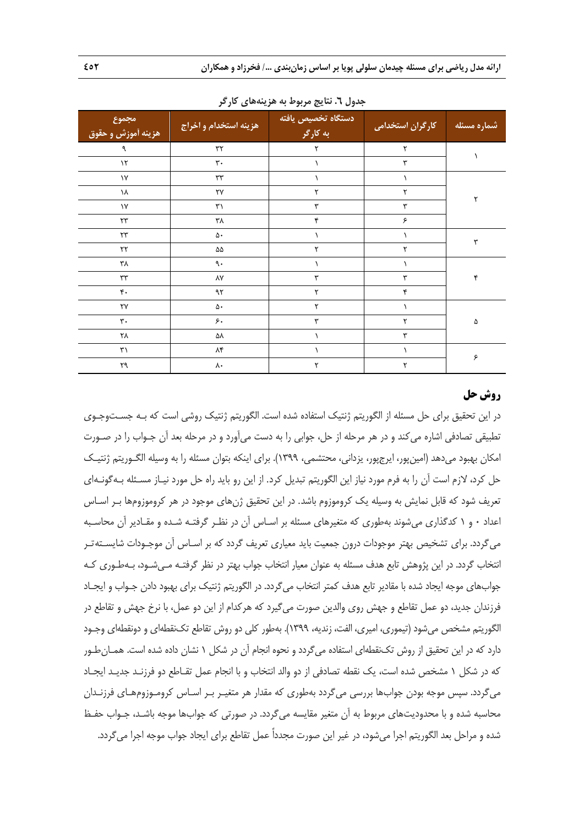| امجموع<br>هزينه أموزش و حقوق | هزينه استخدام و اخراج   | دستگاه تخصیص یافته<br>به کارگر | <mark>کارگران استخدامی</mark> | شماره مسئله          |
|------------------------------|-------------------------|--------------------------------|-------------------------------|----------------------|
| ٩                            | $\mathbf{y} \mathbf{y}$ | $\mathbf{\bar{y}}$             | ٢                             |                      |
| $\mathcal{N}$                | $\mathbf{r}$ .          |                                | ٣                             |                      |
| $\mathsf{V}$                 | $\tau\tau$              |                                |                               |                      |
| ١٨                           | ٢٧                      | ٢                              | ٢                             | ٢                    |
| $\backslash\mathsf{Y}$       | ٣١                      | $\mathbf{r}$                   | ٣                             |                      |
| $\mathbf{y}$                 | ۳۸                      | ۴                              | ۶                             |                      |
| $\mathbf{y} \mathbf{y}$      | ۵۰                      |                                | ١                             | $\mathbf{\breve{r}}$ |
| $\upgamma\upgamma$           | ۵۵                      | ٢                              | ٢                             |                      |
| ۳λ                           | ٩.                      |                                | ١                             |                      |
| $\tau\tau$                   | ٨٧                      | ٣                              | ٣                             | ۴                    |
| $\mathfrak{r}$ .             | ۹۲                      | ٢                              | ۴                             |                      |
| ٢٧                           | ۵۰                      | ٢                              | ١                             |                      |
| $\mathbf{r}$ .               | ۶.                      | ٣                              | ٢                             | ۵                    |
| ٢٨                           | ۵٨                      | ١                              | ٣                             |                      |
| $\mathbf{r}$                 | ۸۴                      |                                |                               | $\hat{\mathcal{F}}$  |
| ٢٩                           | ٨٠                      | $\mathsf{r}$                   | ٢                             |                      |

**جدول .6 نتايج مربوط به هزينههاي كارگر** 

# **روش حل**

در اين تحقيق براي حل مسئله از الگوريتم ژنتيك استفاده شده است. الگوريتم ژنتيك روشي است كه بـه جسـتوجـوي تطبيقي تصادفي اشاره ميكند و در هر مرحله از حل، جوابي را به دست ميآورد و در مرحله بعد آن جـواب را در صـورت امكان بهبود ميدهد (امينپور، ايرجپور، يزداني، محتشمي، 1399). براي اينكه بتوان مسئله را به وسيله الگـوريتم ژنتيـك حل كرد، لازم است آن را به فرم مورد نياز اين الگوريتم تبديل كرد. از اين رو بايد راه حل مورد نيـاز مسـئله بـهگونـهاي تعريف شود كه قابل نمايش به وسيله يك كروموزوم باشد. در اين تحقيق ژنهاي موجود در هر كروموزومها بـر اسـاس اعداد 0 و 1 كدگذاري ميشوند بهطوري كه متغيرهاي مسئله بر اسـاس آن در نظـر گرفتـه شـده و مقـادير آن محاسـبه ميگردد. براي تشخيص بهتر موجودات درون جمعيت بايد معياري تعريف گردد كه بر اسـاس آن موجـودات شايسـتهتـر انتخاب گردد. در اين پژوهش تابع هدف مسئله به عنوان معيار انتخاب جواب بهتر در نظر گرفتـه مـيشـود، بـهطـوري كـه جوابهاي موجه ايجاد شده با مقادير تابع هدف كمتر انتخاب ميگردد. در الگوريتم ژنتيك براي بهبود دادن جـواب و ايجـاد فرزندان جديد، دو عمل تقاطع و جهش روي والدين صورت ميگيرد كه هركدام از اين دو عمل، با نرخ جهش و تقاطع در الگوريتم مشخص ميشود (تيموري، اميري، الفت، زنديه، 1399). بهطور كلي دو روش تقاطع تكنقطهاي و دونقطهاي وجـود دارد كه در اين تحقيق از روش تكنقطهاي استفاده ميگردد و نحوه انجام آن در شكل 1 نشان داده شده است. همـانطـور كه در شكل 1 مشخص شده است، يك نقطه تصادفي از دو والد انتخاب و با انجام عمل تقـاطع دو فرزنـد جديـد ايجـاد ميگردد. سپس موجه بودن جوابها بررسي ميگردد بهطوري كه مقدار هر متغيـر بـر اسـاس كرومـوزومهـاي فرزنـدان محاسبه شده و با محدوديتهاي مربوط به آن متغير مقايسه ميگردد. در صورتي كه جوابها موجه باشـد، جـواب حفـظ شده و مراحل بعد الگوريتم اجرا ميشود، در غير اين صورت مجدداً عمل تقاطع براي ايجاد جواب موجه اجرا ميگردد.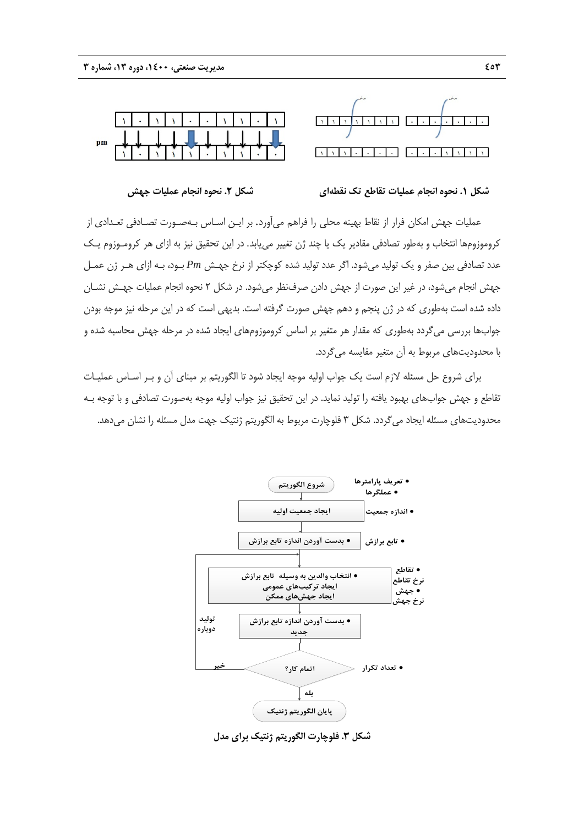



#### **شكل .1 نحوه انجام عمليات تقاطع تك نقطهاي شكل .2 نحوه انجام عمليات جهش**

عمليات جهش امكان فرار از نقاط بهينه محلي را فراهم ميآورد. بر ايـن اسـاس بـهصـورت تصـادفي تعـدادي از كروموزومها انتخاب و بهطور تصادفي مقادير يك يا چند ژن تغيير مييابد. در اين تحقيق نيز به ازاي هر كرومـوزوم يـك عدد تصادفي بين صفر و يك توليد ميشود. اگر عدد توليد شده كوچكتر از نرخ جهـش *Pm* بـود، بـه ازاي هـر ژن عمـل جهش انجام ميشود، در غير اين صورت از جهش دادن صرفنظر ميشود. در شكل 2 نحوه انجام عمليات جهـش نشـان داده شده است بهطوري كه در ژن پنجم و دهم جهش صورت گرفته است. بديهي است كه در اين مرحله نيز موجه بودن جوابها بررسي ميگردد بهطوري كه مقدار هر متغير بر اساس كروموزومهاي ايجاد شده در مرحله جهش محاسبه شده و با محدوديتهاي مربوط به آن متغير مقايسه ميگردد.

براي شروع حل مسئله لازم است يك جواب اوليه موجه ايجاد شود تا الگوريتم بر مبناي آن و بـر اسـاس عمليـات تقاطع و جهش جوابهاي بهبود يافته را توليد نمايد. در اين تحقيق نيز جواب اوليه موجه بهصورت تصادفي و با توجه بـه محدوديتهاي مسئله ايجاد ميگردد. شكل 3 فلوچارت مربوط به الگوريتم ژنتيك جهت مدل مسئله را نشان ميدهد.



**شكل .3 فلوچارت الگوريتم ژنتيك براي مدل**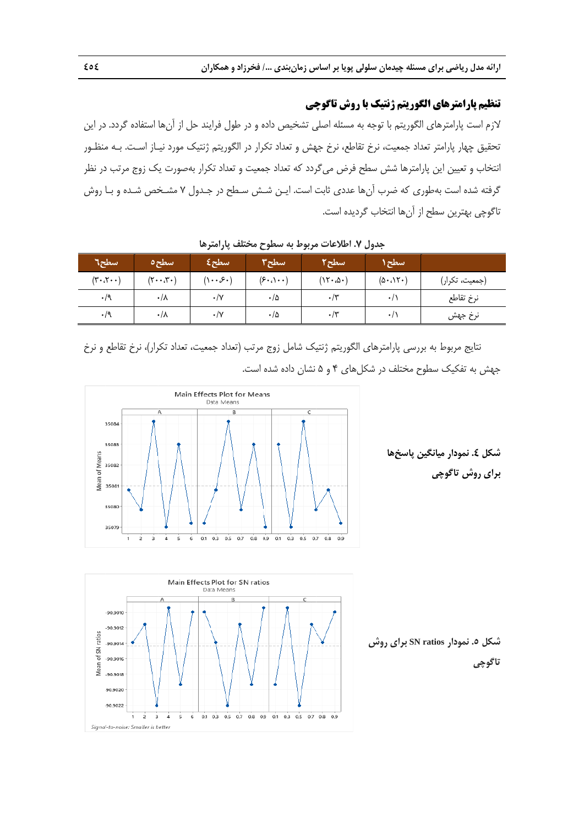# **تنظيم پارامترهاي الگوريتم ژنتيك با روش تاگوچي**

لازم است پارامترهای الگوریتم با توجه به مسئله اصلی تشخیص داده و در طول فرایند حل از آنها استفاده گردد. در این نحقيق چهار پارامتر تعداد جمعيت، نرخ تقاطع، نرخ جهش و تعداد تكرار در الگوريتم ژنتيک مورد نيـاز اسـت. بــه منظــور ُنتخاب و تعيين اين پارامترها شش سطح فرض ميگردد كه تعداد جمعيت و تعداد تكرار بهصورت يک زوج مرتب در نظر گرفته شده است بهطوری که ضرب اًنها عددی ثابت است. ایـن شـش سـطح در جـدول ۷ مشـخص شـده و بـا روش ناگوچی بهترين سطح از آنها انتخاب گرديده است. <mark>ل رياضى براى مسئله چيدمان سا<br>**بارامترهاى الكور بتم ژنتيک باريان براي**<br>چهار پارامتر تعداد جمعيت، نرخ<br>تيين اين پارامترها شش سه<br>تيين اين پارامترها شش سه<br>برهترين سطح از آنها انتخاب<br>بهترين سطح از آنها انتخاب<br>بيت، تكرا<sub>ر</sub>)<br>جدا</mark>

| اسطح٦                                            | سطح٥                            | سطح£                                      | سطح۳                                 | سطح۲       | سطح ۱                    |                |
|--------------------------------------------------|---------------------------------|-------------------------------------------|--------------------------------------|------------|--------------------------|----------------|
| $(\mathbf{r} \cdot \mathbf{r} \cdot \mathbf{r})$ | $(\mathbf{y} \cdot \mathbf{y})$ | $( \mathcal{E} \cdot \mathcal{S} \cdot )$ | $(\epsilon \cdot \cdot) \cdot \cdot$ | (15.0)     | $(\Delta \cdot \Lambda)$ | (جمعیت، تکرار) |
| $\cdot$ /9                                       | $\cdot/\lambda$                 | $\cdot/\mathrm{V}$                        | $\cdot/\Delta$                       | $\cdot$ /۳ | $\cdot$ /,               | نرخ تقاطع      |
| $\cdot$ /9                                       | $\cdot/\lambda$                 | $\cdot/\Upsilon$                          | $\cdot/\Delta$                       | $\cdot$ /۳ | $+1$                     | نرخ جهش        |

**رها ح مختلف پارامتر مربوط به سطوح ل .7 اطلاعات م جدول**

نتايج مربوط به بررسي پارامترهاي الگوريتم ژنتيک شامل زوج مرتب (تعداد جمعيت، تعداد تكرار)، نرخ تقاطع و نرخ جهش به تفكيك سطوح مختلف در شكلهاى ۴ و ۵ نشان داده شده است.





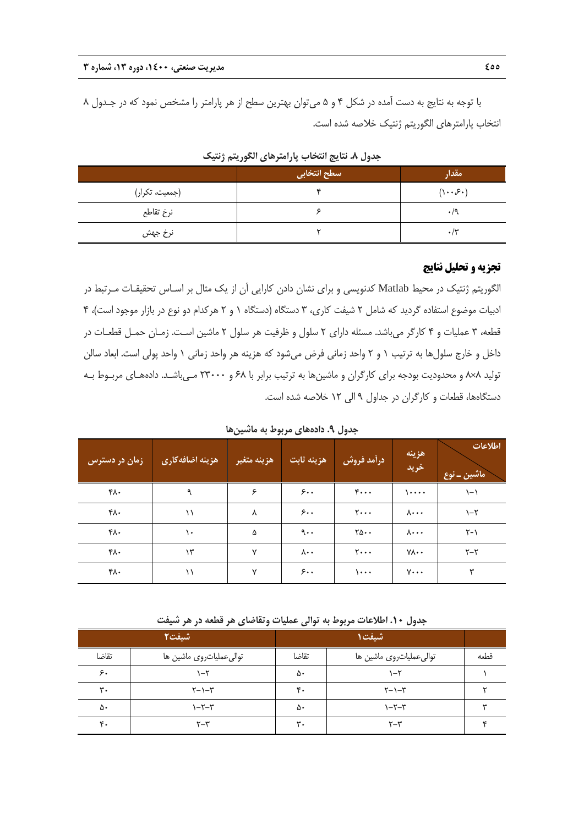با توجه به نتايج به دست آمده در شكل 4 و 5 ميتوان بهترين سطح از هر پارامتر را مشخص نمود كه در جـدول 8 انتخاب پارامترهاي الگوريتم ژنتيك خلاصه شده است.

|                | سطح انتخابی | مقدار                                     |
|----------------|-------------|-------------------------------------------|
| (جمعیت، تکرار) |             | $( \mathcal{S} \cdot \mathcal{S} \cdot )$ |
| نرخ تقاطع      |             | $\cdot$ /9                                |
| نرخ جهش        | ٠           | $\cdot$ /۳                                |

**جدول .8 نتايج انتخاب پارامترهاي الگوريتم ژنتيك** 

#### **تجزيه و تحليل نتايج**

الگوريتم ژنتيك در محيط Matlab كدنويسي و براي نشان دادن كارايي آن از يك مثال بر اسـاس تحقيقـات مـرتبط در ادبيات موضوع استفاده گرديد كه شامل 2 شيفت كاري، 3 دستگاه (دستگاه 1 و 2 هركدام دو نوع در بازار موجود است)، 4 قطعه، 3 عمليات و 4 كارگر ميباشد. مسئله داراي 2 سلول و ظرفيت هر سلول 2 ماشين اسـت. زمـان حمـل قطعـات در داخل و خارج سلولها به ترتيب 1 و 2 واحد زماني فرض ميشود كه هزينه هر واحد زماني 1 واحد پولي است. ابعاد سالن توليد 8×8 و محدوديت بودجه براي كارگران و ماشينها به ترتيب برابر با 68 و 23000 مـيباشـد. دادههـاي مربـوط بـه دستگاهها، قطعات و كارگران در جداول 9 الي 12 خلاصه شده است.

**جدول .9 دادههاي مربوط به ماشينها** 

| زمان در دسترس | هزينه اضافهكاري | <sub>ا</sub> هزينه متغيرا | هزينه ثابت            | درأمد فروش                     | هزينه<br>خريد          | اطلاعات<br>اماشین ــ نوع |
|---------------|-----------------|---------------------------|-----------------------|--------------------------------|------------------------|--------------------------|
| ۴۸۰           | ٩               | ۶                         | 5.1                   | $\mathfrak{r}\cdots$           | $\cdots$               | $\setminus -\setminus$   |
| ۴۸۰           | $\setminus$     | Λ                         | 5.1                   | $\mathbf{y} \cdot \cdot \cdot$ | $\lambda \cdots$       | $\lambda-\zeta$          |
| ۴۸۰           | ١.              | ۵                         | $\mathcal{A}$         | $\forall \Delta \cdot \cdot$   | $\lambda \cdots$       | $Y - Y$                  |
| ۴۸۰           | ۱۳              | $\mathsf{v}$              | $\lambda \cdot \cdot$ | $\mathbf{y} \cdot \cdot \cdot$ | $Y \wedge \cdot \cdot$ | $Y - Y$                  |
| ۴۸۰           | ۱۱              | $\mathsf{v}$              | 5.1                   | $\cdots$                       | $V \cdot \cdot \cdot$  | ٣                        |

**جدول .10 اطلاعات مربوط به توالي عمليات وتقاضاي هر قطعه در هر شيفت** 

|                | تسيفت۲                           |                | شيفت1                   |      |
|----------------|----------------------------------|----------------|-------------------------|------|
| تقاضا          | توالىعملياتروى ماشين ها          | تقاضا          | توالىعملياتروى ماشين ها | قطعه |
| ۶.             | \–۲                              | ۵۰             | \–۲                     |      |
| $\mathbf{r}$ . | $\uparrow - \uparrow - \uparrow$ | $\mathbf{r}$ . | $Y-1-Y$                 |      |
| ۵۰             | $Y-Y-1$                          | ۵۰             | $Y-Y$                   |      |
| $\mathbf{r}$ . | $r - r$                          | $\mathbf{r}$ . | $r - r$                 |      |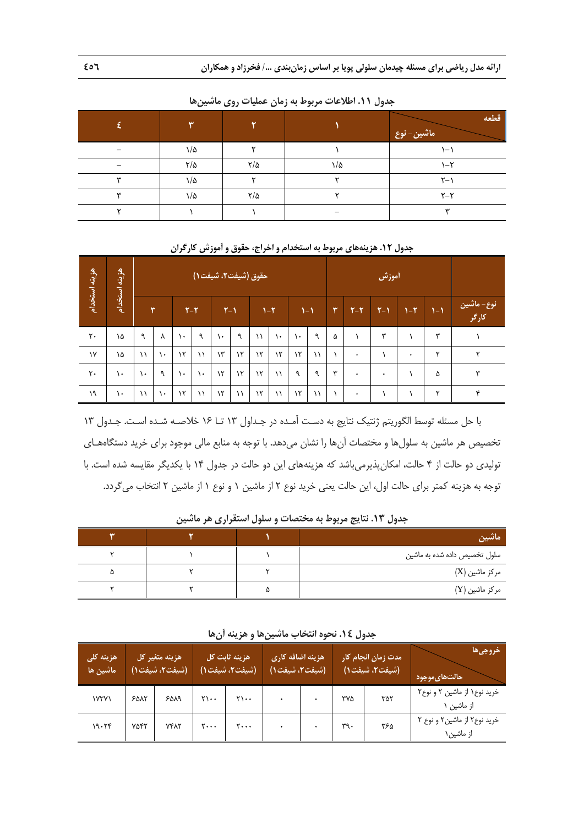|   | ₩             |               |     | قطعه<br>ماشین– نوع |
|---|---------------|---------------|-----|--------------------|
|   | ۱/۵           |               |     | ۱–۱                |
|   | $\frac{1}{2}$ | $\frac{1}{2}$ | ۱/۵ | $1-\tau$           |
|   | ۱/۵           |               |     | $\zeta - \zeta$    |
| w | ۱/۵           | $\frac{1}{2}$ |     | $Y - Y$            |
|   |               |               |     | س                  |

**جدول .11 اطلاعات مربوط به زمان عمليات روي ماشينها** 

| هزينه استخدام | هزينه      | حقوق (شيفت٢، شيفت١) |               |               |         |               |               |               | أموزش         |               |             |   |           |       |         |      |                     |
|---------------|------------|---------------------|---------------|---------------|---------|---------------|---------------|---------------|---------------|---------------|-------------|---|-----------|-------|---------|------|---------------------|
|               | .<br>تخدام |                     | $\mathbf{r}$  |               | $Y - Y$ | $Y-1$         |               |               | $1 - 1$       | $1 - 1$       |             | ٣ | $Y-Y$     | $Y-1$ | $Y - Y$ | $-1$ | نوع- ماشین<br>کارگر |
| ٢٠            | ١۵         | ٩                   | λ             | ١.            | ٩       | $\mathcal{L}$ | ٩             | $\setminus$   | $\mathcal{L}$ | $\mathcal{L}$ | ٩           | ۵ |           | ٣     |         | ۳    |                     |
| $\gamma$      | ١۵         | $\setminus$         | $\mathcal{L}$ | $\mathcal{N}$ | ۱١      | $\mathcal{N}$ | $\mathcal{N}$ | $\mathcal{N}$ | $\mathcal{N}$ | $\mathcal{N}$ | $\setminus$ |   | ٠         |       | ٠       | ۲    | ٢                   |
| ٢٠            | ١.         | ١.                  | ٩             | ١.            | ١.      | $\lambda$     | $\mathcal{N}$ | $\mathcal{N}$ | $\setminus$   | ٩             | ٩           | w | ٠         | ۰     |         | ۵    | ۳                   |
| ۱۹            | ١.         | $\lambda$           | $\mathcal{L}$ | $\lambda$     | ۱۱      | $\mathcal{N}$ | $\setminus$   | $\mathcal{N}$ | $\setminus$   | $\mathcal{N}$ | $\setminus$ |   | $\bullet$ |       |         | ۳    | ۴                   |

**جدول .12 هزينههاي مربوط به استخدام و اخراج، حقوق و آموزش كارگران** 

با حل مسئله توسط الگوريتم ژنتيك نتايج به دسـت آمـده در جـداول 13 تـا 16 خلاصـه شـده اسـت. جـدول 13 تخصيص هر ماشين به سلولها و مختصات آنها را نشان ميدهد. با توجه به منابع مالي موجود براي خريد دستگاههـاي توليدي دو حالت از 4 حالت، امكانپذيرميباشد كه هزينههاي اين دو حالت در جدول 14 با يكديگر مقايسه شده است. با توجه به هزينه كمتر براي حالت اول، اين حالت يعني خريد نوع 2 از ماشين 1 و نوع 1 از ماشين 2 انتخاب ميگردد.

| ماشين                        |  | $\overline{\phantom{a}}$ |
|------------------------------|--|--------------------------|
| سلول تخصیص داده شده به ماشین |  |                          |
| مرکز ماشین (X)               |  | ۵                        |
| مرکز ماشین (Y)               |  |                          |

**جدول .13 نتايج مربوط به مختصات و سلول استقراري هر ماشين** 

| جدول ١٤. نحوه انتخاب ماشينها و هزينه آنها |  |  |  |  |  |  |  |
|-------------------------------------------|--|--|--|--|--|--|--|
|-------------------------------------------|--|--|--|--|--|--|--|

| هزينه كلي<br>ً ماشين ها | هزينه متغير كل<br>(شيفت۲، شيفت۱) |             |                                 | هزينه ثابت كل<br>(شيفت۲، شيفت۱) | هزينه اضافه كارى<br>(شيفت۲، شيفت۱) |     | مدت زمان انجام کار<br>(شيفت٢، شيفت١) | خروجىها<br>ا حالتهای موجود <u>ا</u>        |
|-------------------------|----------------------------------|-------------|---------------------------------|---------------------------------|------------------------------------|-----|--------------------------------------|--------------------------------------------|
| YYY                     | 50 <sub>N</sub>                  | ۶۵۸۹        | $\mathbf{y}_1 \cdot \mathbf{y}$ | ۲۱۰۰                            |                                    | ۳۷۵ | ۳۵۲                                  | خرید نوع ۱ از ماشین ۲ و نوع۲<br>از ماشین ۱ |
| 19.79                   | <b>YAFT</b>                      | <b>YFAT</b> | ۲۰۰۰                            | ۲۰۰۰                            |                                    | ٣٩٠ | ۳۶۵                                  | خرید نوع ۲ از ماشین ۲ و نوع ۲<br>از ماشین۱ |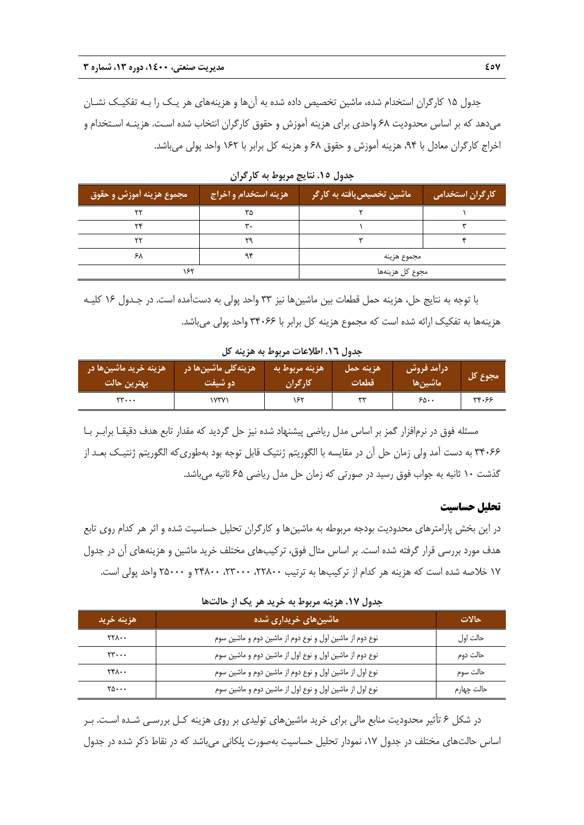جدول 15 كارگران استخدام شده، ماشين تخصيص داده شده به آنها و هزينههاي هر يـك را بـه تفكيـك نشـان ميدهد كه بر اساس محدوديت 68 واحدي براي هزينه آموزش و حقوق كارگران انتخاب شده اسـت. هزينـه اسـتخدام و اخراج كارگران معادل با ۹۴، هزينه آموزش و حقوق ۶۸ و هزينه كل برابر با ۱۶۲ واحد پولي مي باشد.

| مجموع هزينه أموزش و حقوق | ' هزينه استخدام و اخراج <sub>ا</sub> | ً ماشین تخصیص یافته به کارگر | <mark>کارگران استخدامی</mark> ا |
|--------------------------|--------------------------------------|------------------------------|---------------------------------|
| ۲۲                       | ۳۵                                   |                              |                                 |
| ۲۴                       | ٣.                                   |                              |                                 |
| ٢٢                       | ۲۹                                   |                              |                                 |
| ۶۸                       | ۹۴                                   | مجموع هزينه                  |                                 |
| ۱۶۲                      |                                      | مجوع كل هزينهها              |                                 |

**جدول .15 نتايج مربوط به كارگران** 

با توجه به نتايج حل، هزينه حمل قطعات بين ماشينها نيز 33 واحد پولي به دستآمده است. در جـدول 16 كليـه هزينهها به تفكيك ارائه شده است كه مجموع هزينه كل برابر با 34066 واحد پولي ميباشد.

**جدول .16 اطلاعات مربوط به هزينه كل** 

| <b>موزینه خرید ماشین ها در م</b> | هزینهکلی ماشینها در | هزينه مربوط به | هزينه حمل | درآمد فروش <i>ن</i> | مجوع کل |
|----------------------------------|---------------------|----------------|-----------|---------------------|---------|
| بهترين حالت                      | دو شيفت             | کا, گرار،      | قطعات     | ماشين ها            |         |
| $rr \cdots$                      | ۷۳۷۱'               | ۱۶۲            | سوسو      | ۶۵۰۰                | 33.97   |

مسئله فوق در نرمافزار گمز بر اساس مدل رياضي پيشنهاد شده نيز حل گرديد كه مقدار تابع هدف دقيقـا برابـر بـا 34066 به دست آمد ولي زمان حل آن در مقايسه با الگوريتم ژنتيك قابل توجه بود بهطوريكه الگوريتم ژنتيـك بعـد از گذشت 10 ثانيه به جواب فوق رسيد در صورتي كه زمان حل مدل رياضي 65 ثانيه ميباشد.

#### **تحليل حساسيت**

در اين بخش پارامترهاي محدوديت بودجه مربوطه به ماشينها و كارگران تحليل حساسيت شده و اثر هر كدام روي تابع هدف مورد بررسي قرار گرفته شده است. بر اساس مثال فوق، تركيبهاي مختلف خريد ماشين و هزينههاي آن در جدول 17 خلاصه شده است كه هزينه هر كدام از تركيبها به ترتيب ،22800 ،23000 24800 و 25000 واحد پولي است.

**جدول .17 هزينه مربوط به خريد هر يك از حالتها** 

| هزينه خريد                   | ۱ ماشینهای خریداری شده <mark>ا</mark>                   | حالات      |
|------------------------------|---------------------------------------------------------|------------|
| $YY\Lambda \cdots$           | نوع دوم از ماشین اول و نوع دوم از ماشین دوم و ماشین سوم | حالت اول   |
| $\mathbf{y}, \mathbf{y}$     | نوع دوم از ماشین اول و نوع اول از ماشین دوم و ماشین سوم | حالت دوم   |
| $Y^{\mu}$                    | نوع اول از ماشین اول و نوع دوم از ماشین دوم و ماشین سوم | حالت سوم   |
| $\mathbf{Y}\mathbf{0}\cdots$ | نوع اول از ماشین اول و نوع اول از ماشین دوم و ماشین سوم | حالت چهارم |

در شكل 6 تأثير محدوديت منابع مالي براي خريد ماشينهاي توليدي بر روي هزينه كـل بررسـي شـده اسـت. بـر اساس حالتهاي مختلف در جدول ١٧، نمودار تحليل حساسيت بهصورت پلكاني مي باشد كه در نقاط ذكر شده در جدول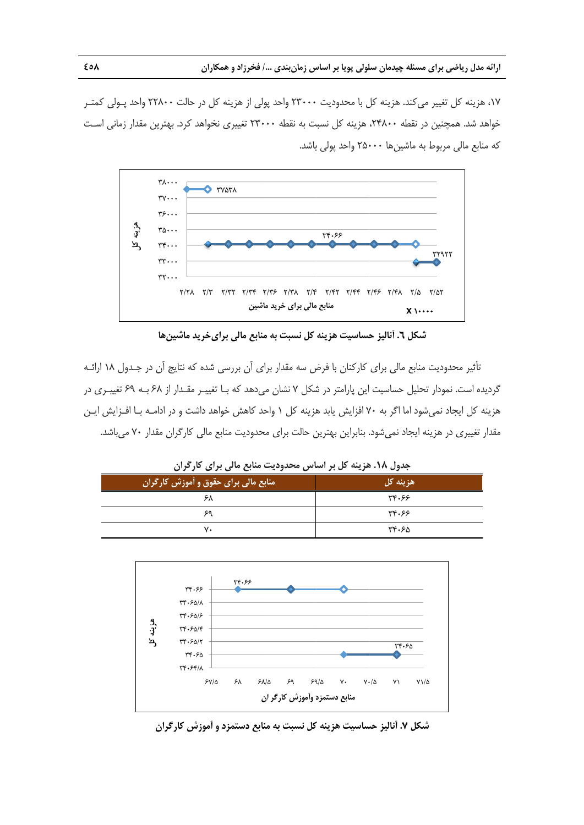١٧، هزينه كل تغيير ميكند. هزينه كل با محدوديت ٢٣٠٠٠ واحد پولي از هزينه كل در حالت ٢٢٨٠٠ واحد پـولي كمتـر خواهد شد. همچنين در نقطه ٢۴٨٠٠، هزينه كل نسبت به نقطه ٢٣٠٠٠ تغييرى نخواهد كرد. بهترين مقدار زمانى است كه منابع مالي مربوط به ماشينها ۲۵۰۰۰ واحد پولي باشد.



**خريد ماشينها منابع مالي براي كل نسبت به م حساسيت هزينه شكل .6 آناليز ح ش**

نأثير محدوديت منابع مالي براي كاركنان با فرض سه مقدار براي أن بررسي شده كه نتايج أن در جـدول ١٨ ارائـه گرديده است. نمودار تحليل حساسيت اين پارامتر در شكل ۷ نشان مىدهد كه بــا تغييــر مقــدار از ۶۸ بــه ۶۹ تغييــرى در هزينه كل ايجاد نميشود اما اگر به ۷۰ افزايش يابد هزينه كل ۱ واحد كاهش خواهد داشت و در ادامـه بـا افــزايش ايــن مقدار تغييرى در هزينه ايجاد نمىشود. بنابراين بهترين حالت براى محدوديت منابع مالى كارگران مقدار ٧٠ مىباشد.

| جدول ۱۸. هزینه کل بر اساس محدودیت منابع مالی برای کارگران |          |  |  |  |  |  |
|-----------------------------------------------------------|----------|--|--|--|--|--|
| ِ منابع مالی برای حقوق و اَموزشّ کارگران ا                | هزينه کل |  |  |  |  |  |
| ۶۸                                                        | 33.97    |  |  |  |  |  |
| ۶۹                                                        | 33.97    |  |  |  |  |  |
| ٧٠                                                        | ۳۴۰۶۵    |  |  |  |  |  |



**ن آموزش كارگران نابع دستمزد و آ كل نسبت به من ساسيت هزينه ك كل .7 آناليز حس شك**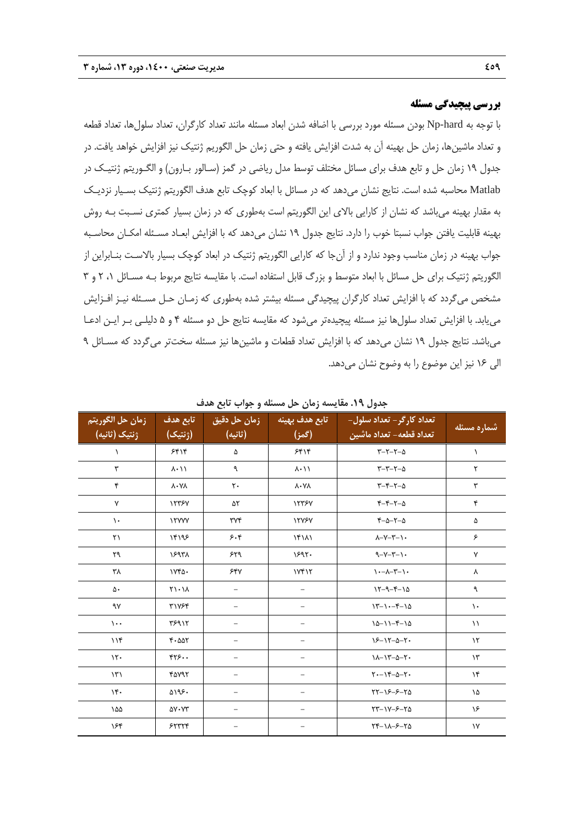# **بررسي پيچيدگي مسئله**

با توجه به hard-Np بودن مسئله مورد بررسي با اضافه شدن ابعاد مسئله مانند تعداد كارگران، تعداد سلولها، تعداد قطعه و تعداد ماشينها، زمان حل بهينه آن به شدت افزايش يافته و حتي زمان حل الگوريم ژنتيك نيز افزايش خواهد يافت. در جدول 19 زمان حل و تابع هدف براي مسائل مختلف توسط مدل رياضي در گمز (سـالور بـارون) و الگـوريتم ژنتيـك در Matlab محاسبه شده است. نتايج نشان ميدهد كه در مسائل با ابعاد كوچك تابع هدف الگوريتم ژنتيك بسـيار نزديـك به مقدار بهينه ميباشد كه نشان از كارايي بالاي اين الگوريتم است بهطوري كه در زمان بسيار كمتري نسـبت بـه روش بهينه قابليت يافتن جواب نسبتا خوب را دارد. نتايج جدول 19 نشان ميدهد كه با افزايش ابعـاد مسـئله امكـان محاسـبه جواب بهينه در زمان مناسب وجود ندارد و از آنجا كه كارايي الگوريتم ژنتيك در ابعاد كوچك بسيار بالاسـت بنـابراين از الگوريتم ژنتيك براي حل مسائل با ابعاد متوسط و بزرگ قابل استفاده است. با مقايسه نتايج مربوط بـه مسـائل ،1 2 و 3 مشخص ميگردد كه با افزايش تعداد كارگران پيچيدگي مسئله بيشتر شده بهطوري كه زمـان حـل مسـئله نيـز افـزايش مييابد. با افزايش تعداد سلولها نيز مسئله پيچيدهتر ميشود كه مقايسه نتايج حل دو مسئله 4 و 5 دليلـي بـر ايـن ادعـا ميباشد. نتايج جدول 19 نشان ميدهد كه با افزايش تعداد قطعات و ماشينها نيز مسئله سختتر ميگردد كه مسـائل 9 الي 16 نيز اين موضوع را به وضوح نشان ميدهد.

| زمان حل الگوريتم<br>ژنتیک (ثانیه) | تابع هدف<br>(ژنتیک)          | زمان حل دقيق<br>(ثانيه)   | تابع هدف بهينه<br>(گمز)   | تعداد کارگر– تعداد سلول–<br>تعداد قطعه– تعداد ماشين | شماره مسئله             |
|-----------------------------------|------------------------------|---------------------------|---------------------------|-----------------------------------------------------|-------------------------|
| $\lambda$                         | 5515                         | ۵                         | 5515                      | $\tau-\tau-\tau-\Delta$                             | $\lambda$               |
| ٣                                 | $\lambda \cdot 11$           | ٩                         | $\lambda \cdot 11$        | $r-r-r-\Delta$                                      | ٢                       |
| ۴                                 | $\lambda$ . $\lambda\lambda$ | $\mathsf{r}$ .            | $\lambda \cdot Y \lambda$ | $r-r-r-\Delta$                                      | $\mathbf{\breve{v}}$    |
| $\mathsf{v}$                      | 17757                        | ۵۲                        | 17787                     | $Y-Y-Y-\Delta$                                      | ۴                       |
| $\mathcal{L}$                     | <b>ITYYY</b>                 | $\forall \forall \forall$ | <b><i>ITYSY</i></b>       | $r-\Delta-r-\Delta$                                 | ۵                       |
| $\mathsf{r}\mathsf{v}$            | ۱۴۱۹۶                        | 5.5                       | 16111                     | $\lambda-\gamma-\gamma-\gamma$ .                    | ۶                       |
| ٢٩                                | ١۶٩٣٨                        | ۶۲۹                       | 1597.                     | $-1-\gamma-\gamma-1$                                | γ                       |
| ۳٨                                | $VFA-$                       | 540                       | 1Yf17                     | $\lambda - \lambda - \lambda - \lambda - \lambda$   | ٨                       |
| ۵۰                                | $Y \cup Y$                   |                           |                           | $15 - 9 - 5 - 10$                                   | ٩                       |
| ٩٧                                | ٣١٧۶۴                        |                           |                           | $17 - 1 - 5 - 10$                                   | $\lambda$ .             |
| $\mathcal{L}$ .                   | ۳۶۹ ۱۲                       |                           |                           | $10 - 11 - 5 - 10$                                  | $\setminus$             |
| 116                               | 4.007                        |                           |                           | $15 - 17 - 0 - 7$                                   | $\mathcal{N}$           |
| $\mathcal{N}$                     | rr5.                         |                           |                           | $1 - 17 - 2 - 7$                                    | $\mathcal{N}$           |
| $\mathcal{N}$                     | ۴۵۷۹۲                        |                           |                           | $Y - Y^2 - 2Y -$                                    | $\lambda$               |
| $\mathcal{N}$ .                   | ۵۱۹۶۰                        |                           |                           | $YY-YY-Y0$                                          | ۱۵                      |
| ۱۵۵                               | $\Delta V \cdot VT$          |                           |                           | $YY - YY - 5 - Y\Delta$                             | ۱۶                      |
| ۱۶۴                               | 55777                        |                           |                           | $Y^{\epsilon-1}\lambda-\ell-\ell\Delta$             | $\backslash \mathsf{Y}$ |

**جدول .19 مقايسه زمان حل مسئله و جواب تابع هدف**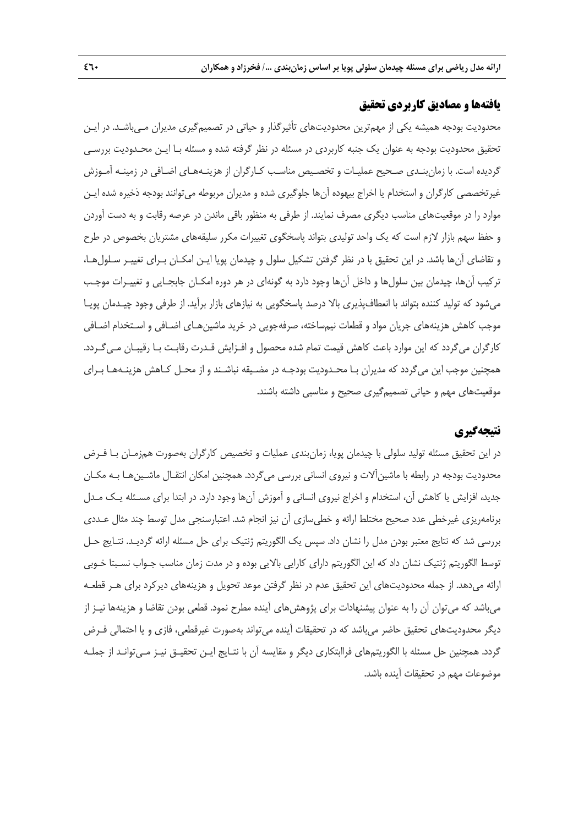# **يافتهها و مصاديق كاربردي تحقيق**

محدوديت بودجه هميشه يكي از مهمترين محدوديتهاي تأثيرگذار و حياتي در تصميمگيري مديران مـيباشـد. در ايـن تحقيق محدوديت بودجه به عنوان يك جنبه كاربردي در مسئله در نظر گرفته شده و مسئله بـا ايـن محـدوديت بررسـي گرديده است. با زمانبنـدي صـحيح عمليـات و تخصـيص مناسـب كـارگران از هزينـههـاي اضـافي در زمينـه آمـوزش غيرتخصصي كارگران و استخدام يا اخراج بيهوده آنها جلوگيري شده و مديران مربوطه ميتوانند بودجه ذخيره شده ايـن موارد را در موقعيتهاي مناسب ديگري مصرف نمايند. از طرفي به منظور باقي ماندن در عرصه رقابت و به دست آوردن و حفظ سهم بازار لازم است كه يك واحد توليدي بتواند پاسخگوي تغييرات مكرر سليقههاي مشتريان بخصوص در طرح و تقاضاي آنها باشد. در اين تحقيق با در نظر گرفتن تشكيل سلول و چيدمان پويا ايـن امكـان بـراي تغييـر سـلولهـا، تركيب آنها، چيدمان بين سلولها و داخل آنها وجود دارد به گونهاي در هر دوره امكـان جابجـايي و تغييـرات موجـب ميشود كه توليد كننده بتواند با انعطافپذيري بالا درصد پاسخگويي به نيازهاي بازار برآيد. از طرفي وجود چيـدمان پويـا موجب كاهش هزينههاي جريان مواد و قطعات نيمساخته، صرفهجويي در خريد ماشينهـاي اضـافي و اسـتخدام اضـافي كارگران ميگردد كه اين موارد باعث كاهش قيمت تمام شده محصول و افـزايش قـدرت رقابـت بـا رقيبـان مـيگـردد. همچنين موجب اين ميگردد كه مديران بـا محـدوديت بودجـه در مضـيقه نباشـند و از محـل كـاهش هزينـههـا بـراي موقعيتهاي مهم و حياتي تصميمگيري صحيح و مناسبي داشته باشند.

# **نتيجهگيري**

در اين تحقيق مسئله توليد سلولي با چيدمان پويا، زمانبندي عمليات و تخصيص كارگران بهصورت همزمـان بـا فـرض محدوديت بودجه در رابطه با ماشينآلات و نيروي انساني بررسي ميگردد. همچنين امكان انتقـال ماشـينهـا بـه مكـان جديد، افزايش يا كاهش آن، استخدام و اخراج نيروي انساني و آموزش آنها وجود دارد. در ابتدا براي مسـئله يـك مـدل برنامهريزي غيرخطي عدد صحيح مختلط ارائه و خطيسازي آن نيز انجام شد. اعتبارسنجي مدل توسط چند مثال عـددي بررسي شد كه نتايج معتبر بودن مدل را نشان داد. سپس يك الگوريتم ژنتيك براي حل مسئله ارائه گرديـد. نتـايج حـل توسط الگوريتم ژنتيك نشان داد كه اين الگوريتم داراي كارايي بالايي بوده و در مدت زمان مناسب جـواب نسـبتا خـوبي ارائه ميدهد. از جمله محدوديتهاي اين تحقيق عدم در نظر گرفتن موعد تحويل و هزينههاي ديركرد براي هـر قطعـه ميباشد كه ميتوان آن را به عنوان پيشنهادات براي پژوهشهاي آينده مطرح نمود. قطعي بودن تقاضا و هزينهها نيـز از ديگر محدوديتهاي تحقيق حاضر ميباشد كه در تحقيقات آينده ميتواند بهصورت غيرقطعي، فازي و يا احتمالي فـرض گردد. همچنين حل مسئله با الگوريتمهاي فراابتكاري ديگر و مقايسه آن با نتـايج ايـن تحقيـق نيـز مـيتوانـد از جملـه موضوعات مهم در تحقيقات آينده باشد.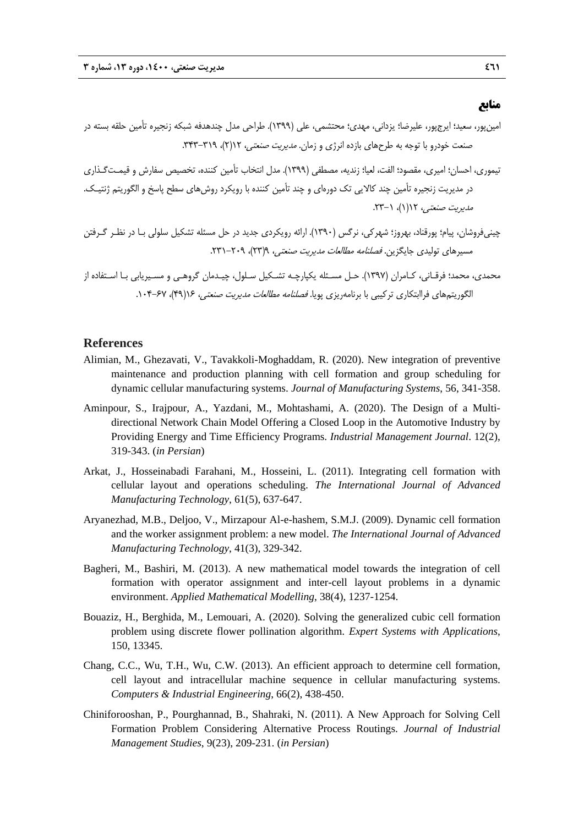### **منابع**

- امينپور، سعيد؛ ايرجپور، عليرضا؛ يزداني، مهدي؛ محتشمي، علي (1399). طراحي مدل چندهدفه شبكه زنجيره تأمين حلقه بسته در صنعت خودرو با توجه به طرحهاي بازده انرژي و زمان. *مديريت صنعتي،* ١٢(٢)، ٣١٩-٣٣٣.
- تيموري، احسان؛ اميري، مقصود؛ الفت، لعيا؛ زنديه، مصطفي (1399). مدل انتخاب تأمين كننده، تخصيص سفارش و قيمـتگـذاري در مديريت زنجيره تأمين چند كالايي تك دورهاي و چند تأمين كننده با رويكرد روشهاي سطح پاسخ و الگوريتم ژنتيـك. مديريت صنعتي، ١١(١)، ١-٢٣.
- چينيفروشان، پيام؛ پورقناد، بهروز؛ شهركي، نرگس (1390). ارائه رويكردي جديد در حل مسئله تشكيل سلولي بـا در نظـر گـرفتن مسيرهاي توليدي جايگزين. *فصلنامه مطالعات مديريت صنعتي، ٩(*٢٣)، ٢٠٩-٢٣١.

محمدي، محمد؛ فرقـاني، كـامران (1397). حـل مسـئله يكپارچـه تشـكيل سـلول، چيـدمان گروهـي و مسـيريابي بـا اسـتفاده از الگوريتمهاي فراابتكاري تركيبي با برنامهريزي پويا. فصلنامه مطالعات مديريت صنعتي، 16(49)، .104-67

#### **References**

- Alimian, M., Ghezavati, V., Tavakkoli-Moghaddam, R. (2020). New integration of preventive maintenance and production planning with cell formation and group scheduling for dynamic cellular manufacturing systems. *Journal of Manufacturing Systems*, 56, 341-358.
- Aminpour, S., Irajpour, A., Yazdani, M., Mohtashami, A. (2020). The Design of a Multidirectional Network Chain Model Offering a Closed Loop in the Automotive Industry by Providing Energy and Time Efficiency Programs. *Industrial Management Journal*. 12(2), 319-343. (*in Persian*)
- Arkat, J., Hosseinabadi Farahani, M., Hosseini, L. (2011). Integrating cell formation with cellular layout and operations scheduling. *The International Journal of Advanced Manufacturing Technology*, 61(5), 637-647.
- Aryanezhad, M.B., Deljoo, V., Mirzapour Al-e-hashem, S.M.J. (2009). Dynamic cell formation and the worker assignment problem: a new model. *The International Journal of Advanced Manufacturing Technology*, 41(3), 329-342.
- Bagheri, M., Bashiri, M. (2013). A new mathematical model towards the integration of cell formation with operator assignment and inter-cell layout problems in a dynamic environment. *Applied Mathematical Modelling*, 38(4), 1237-1254.
- Bouaziz, H., Berghida, M., Lemouari, A. (2020). Solving the generalized cubic cell formation problem using discrete flower pollination algorithm. *Expert Systems with Applications*, 150, 13345.
- Chang, C.C., Wu, T.H., Wu, C.W. (2013). An efficient approach to determine cell formation, cell layout and intracellular machine sequence in cellular manufacturing systems. *Computers & Industrial Engineering*, 66(2), 438-450.
- Chiniforooshan, P., Pourghannad, B., Shahraki, N. (2011). A New Approach for Solving Cell Formation Problem Considering Alternative Process Routings. *Journal of Industrial Management Studies*, 9(23), 209-231. (*in Persian*)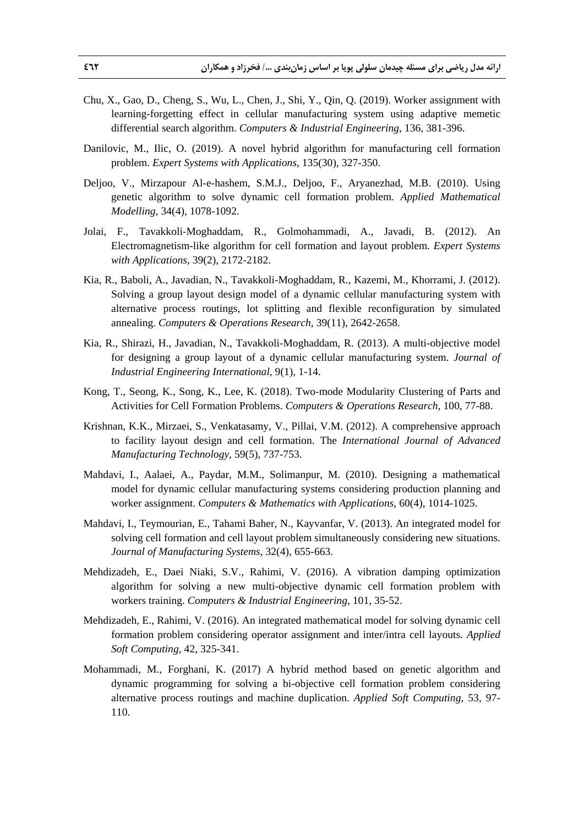- Chu, X., Gao, D., Cheng, S., Wu, L., Chen, J., Shi, Y., Qin, Q. (2019). Worker assignment with learning-forgetting effect in cellular manufacturing system using adaptive memetic differential search algorithm. *Computers & Industrial Engineering*, 136, 381-396.
- Danilovic, M., Ilic, O. (2019). A novel hybrid algorithm for manufacturing cell formation problem. *Expert Systems with Applications*, 135(30), 327-350.
- Deljoo, V., Mirzapour Al-e-hashem, S.M.J., Deljoo, F., Aryanezhad, M.B. (2010). Using genetic algorithm to solve dynamic cell formation problem. *Applied Mathematical Modelling*, 34(4), 1078-1092.
- Jolai, F., Tavakkoli-Moghaddam, R., Golmohammadi, A., Javadi, B. (2012). An Electromagnetism-like algorithm for cell formation and layout problem. *Expert Systems with Applications*, 39(2), 2172-2182.
- Kia, R., Baboli, A., Javadian, N., Tavakkoli-Moghaddam, R., Kazemi, M., Khorrami, J. (2012). Solving a group layout design model of a dynamic cellular manufacturing system with alternative process routings, lot splitting and flexible reconfiguration by simulated annealing. *Computers & Operations Research*, 39(11), 2642-2658.
- Kia, R., Shirazi, H., Javadian, N., Tavakkoli-Moghaddam, R. (2013). A multi-objective model for designing a group layout of a dynamic cellular manufacturing system. *Journal of Industrial Engineering International*, 9(1), 1-14.
- Kong, T., Seong, K., Song, K., Lee, K. (2018). Two-mode Modularity Clustering of Parts and Activities for Cell Formation Problems. *Computers & Operations Research*, 100, 77-88.
- Krishnan, K.K., Mirzaei, S., Venkatasamy, V., Pillai, V.M. (2012). A comprehensive approach to facility layout design and cell formation. The *International Journal of Advanced Manufacturing Technology*, 59(5), 737-753.
- Mahdavi, I., Aalaei, A., Paydar, M.M., Solimanpur, M. (2010). Designing a mathematical model for dynamic cellular manufacturing systems considering production planning and worker assignment. *Computers & Mathematics with Applications*, 60(4), 1014-1025.
- Mahdavi, I., Teymourian, E., Tahami Baher, N., Kayvanfar, V. (2013). An integrated model for solving cell formation and cell layout problem simultaneously considering new situations. *Journal of Manufacturing Systems*, 32(4), 655-663.
- Mehdizadeh, E., Daei Niaki, S.V., Rahimi, V. (2016). A vibration damping optimization algorithm for solving a new multi-objective dynamic cell formation problem with workers training. *Computers & Industrial Engineering*, 101, 35-52.
- Mehdizadeh, E., Rahimi, V. (2016). An integrated mathematical model for solving dynamic cell formation problem considering operator assignment and inter/intra cell layouts. *Applied Soft Computing*, 42, 325-341.
- Mohammadi, M., Forghani, K. (2017) A hybrid method based on genetic algorithm and dynamic programming for solving a bi-objective cell formation problem considering alternative process routings and machine duplication. *Applied Soft Computing*, 53, 97- 110.